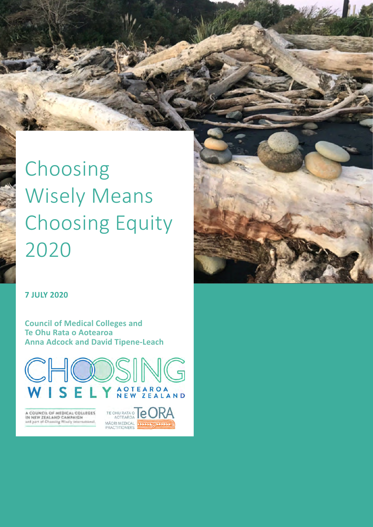# Choosing Wisely Means Choosing Equity 2020

### **7 JULY 2020**

**Council of Medical Colleges and Te Ohu Rata o Aotearoa Anna Adcock and David Tipene-Leach**



A COUNCIL OF MEDICAL COLLEGES<br>IN NEW ZEALAND CAMPAIGN<br>and part of Channing Weelly international

TE OHU RATA O **C** MÃORI MEDICAL

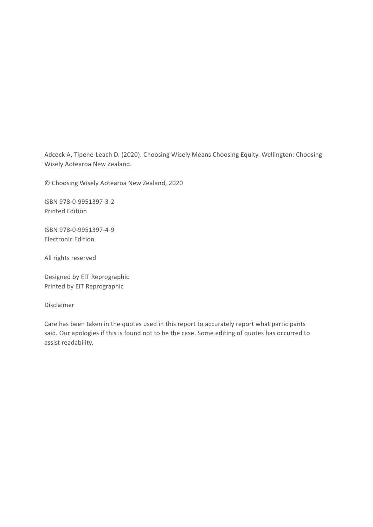Adcock A, Tipene-Leach D. (2020). Choosing Wisely Means Choosing Equity. Wellington: Choosing Wisely Aotearoa New Zealand.

© Choosing Wisely Aotearoa New Zealand, 2020

ISBN 978-0-9951397-3-2 Printed Edition

ISBN 978-0-9951397-4-9 Electronic Edition

All rights reserved

Designed by EIT Reprographic Printed by EIT Reprographic

Disclaimer

Care has been taken in the quotes used in this report to accurately report what participants said. Our apologies if this is found not to be the case. Some editing of quotes has occurred to assist readability.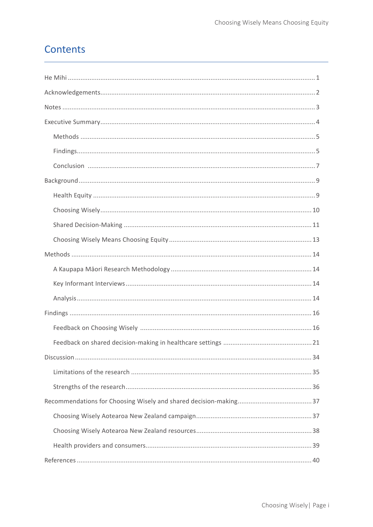## Contents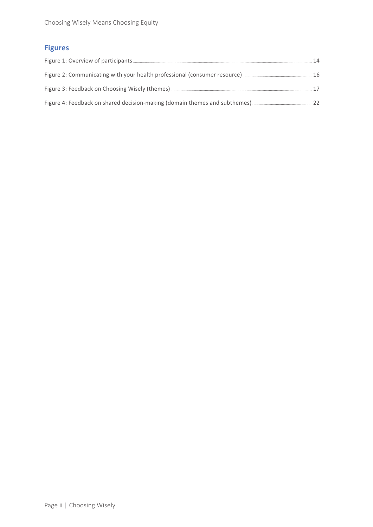### **Figures**

| 14    |
|-------|
|       |
|       |
| $-22$ |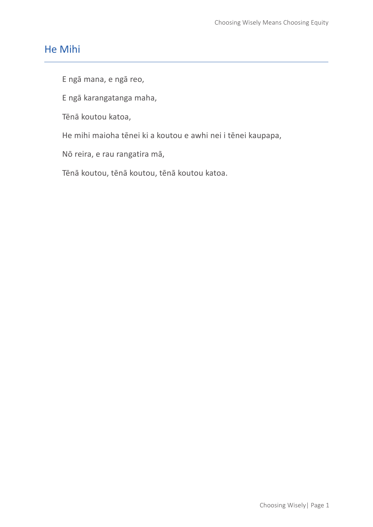### He Mihi

E ngā mana, e ngā reo,

E ngā karangatanga maha,

Tēnā koutou katoa,

He mihi maioha tēnei ki a koutou e awhi nei i tēnei kaupapa,

Nō reira, e rau rangatira mā,

Tēnā koutou, tēnā koutou, tēnā koutou katoa.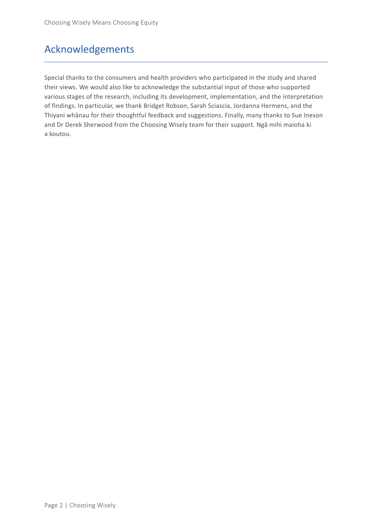## Acknowledgements

Special thanks to the consumers and health providers who participated in the study and shared their views. We would also like to acknowledge the substantial input of those who supported various stages of the research, including its development, implementation, and the interpretation of findings. In particular, we thank Bridget Robson, Sarah Sciascia, Jordanna Hermens, and the Thiyani whānau for their thoughtful feedback and suggestions. Finally, many thanks to Sue Ineson and Dr Derek Sherwood from the Choosing Wisely team for their support. Ngā mihi maioha ki a koutou.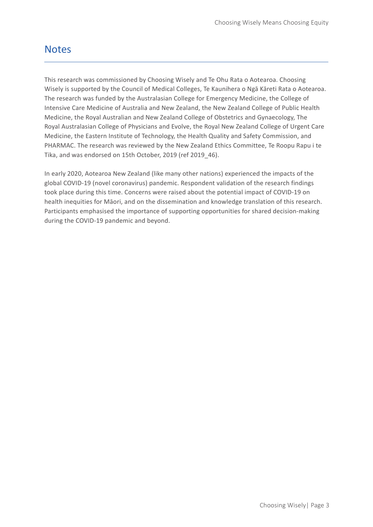### **Notes**

This research was commissioned by Choosing Wisely and Te Ohu Rata o Aotearoa. Choosing Wisely is supported by the Council of Medical Colleges, Te Kaunihera o Ngā Kāreti Rata o Aotearoa. The research was funded by the Australasian College for Emergency Medicine, the College of Intensive Care Medicine of Australia and New Zealand, the New Zealand College of Public Health Medicine, the Royal Australian and New Zealand College of Obstetrics and Gynaecology, The Royal Australasian College of Physicians and Evolve, the Royal New Zealand College of Urgent Care Medicine, the Eastern Institute of Technology, the Health Quality and Safety Commission, and PHARMAC. The research was reviewed by the New Zealand Ethics Committee, Te Roopu Rapu i te Tika, and was endorsed on 15th October, 2019 (ref 2019\_46).

In early 2020, Aotearoa New Zealand (like many other nations) experienced the impacts of the global COVID-19 (novel coronavirus) pandemic. Respondent validation of the research findings took place during this time. Concerns were raised about the potential impact of COVID-19 on health inequities for Māori, and on the dissemination and knowledge translation of this research. Participants emphasised the importance of supporting opportunities for shared decision-making during the COVID-19 pandemic and beyond.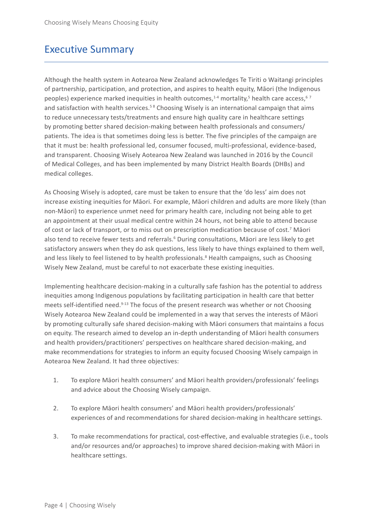### Executive Summary

Although the health system in Aotearoa New Zealand acknowledges Te Tiriti o Waitangi principles of partnership, participation, and protection, and aspires to health equity, Māori (the Indigenous peoples) experience marked inequities in health outcomes,<sup>1-4</sup> mortality,<sup>5</sup> health care access,<sup>67</sup> and satisfaction with health services.<sup>58</sup> Choosing Wisely is an international campaign that aims to reduce unnecessary tests/treatments and ensure high quality care in healthcare settings by promoting better shared decision-making between health professionals and consumers/ patients. The idea is that sometimes doing less is better. The five principles of the campaign are that it must be: health professional led, consumer focused, multi-professional, evidence-based, and transparent. Choosing Wisely Aotearoa New Zealand was launched in 2016 by the Council of Medical Colleges, and has been implemented by many District Health Boards (DHBs) and medical colleges.

As Choosing Wisely is adopted, care must be taken to ensure that the 'do less' aim does not increase existing inequities for Māori. For example, Māori children and adults are more likely (than non-Māori) to experience unmet need for primary health care, including not being able to get an appointment at their usual medical centre within 24 hours, not being able to attend because of cost or lack of transport, or to miss out on prescription medication because of cost.<sup>7</sup> Māori also tend to receive fewer tests and referrals.<sup>6</sup> During consultations, Māori are less likely to get satisfactory answers when they do ask questions, less likely to have things explained to them well, and less likely to feel listened to by health professionals.<sup>8</sup> Health campaigns, such as Choosing Wisely New Zealand, must be careful to not exacerbate these existing inequities.

Implementing healthcare decision-making in a culturally safe fashion has the potential to address inequities among Indigenous populations by facilitating participation in health care that better meets self-identified need.<sup>9-13</sup> The focus of the present research was whether or not Choosing Wisely Aotearoa New Zealand could be implemented in a way that serves the interests of Māori by promoting culturally safe shared decision-making with Māori consumers that maintains a focus on equity. The research aimed to develop an in-depth understanding of Māori health consumers and health providers/practitioners' perspectives on healthcare shared decision-making, and make recommendations for strategies to inform an equity focused Choosing Wisely campaign in Aotearoa New Zealand. It had three objectives:

- 1. To explore Māori health consumers' and Māori health providers/professionals' feelings and advice about the Choosing Wisely campaign.
- 2. To explore Māori health consumers' and Māori health providers/professionals' experiences of and recommendations for shared decision-making in healthcare settings.
- 3. To make recommendations for practical, cost-effective, and evaluable strategies (i.e., tools and/or resources and/or approaches) to improve shared decision-making with Māori in healthcare settings.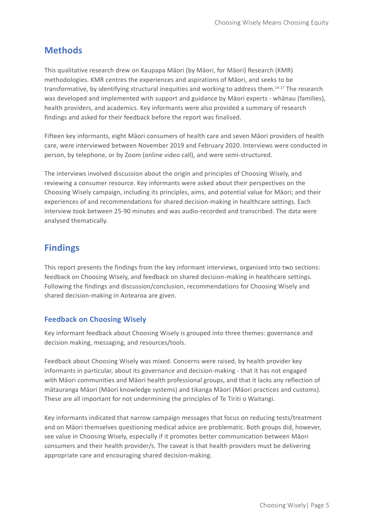### **Methods**

This qualitative research drew on Kaupapa Māori (by Māori, for Māori) Research (KMR) methodologies. KMR centres the experiences and aspirations of Māori, and seeks to be transformative, by identifying structural inequities and working to address them.14-17 The research was developed and implemented with support and guidance by Māori experts - whānau (families), health providers, and academics. Key informants were also provided a summary of research findings and asked for their feedback before the report was finalised.

Fifteen key informants, eight Māori consumers of health care and seven Māori providers of health care, were interviewed between November 2019 and February 2020. Interviews were conducted in person, by telephone, or by Zoom (online video call), and were semi-structured.

The interviews involved discussion about the origin and principles of Choosing Wisely, and reviewing a consumer resource. Key informants were asked about their perspectives on the Choosing Wisely campaign, including its principles, aims, and potential value for Māori; and their experiences of and recommendations for shared decision-making in healthcare settings. Each interview took between 25-90 minutes and was audio-recorded and transcribed. The data were analysed thematically.

### **Findings**

This report presents the findings from the key informant interviews, organised into two sections: feedback on Choosing Wisely, and feedback on shared decision-making in healthcare settings. Following the findings and discussion/conclusion, recommendations for Choosing Wisely and shared decision-making in Aotearoa are given.

#### **Feedback on Choosing Wisely**

Key informant feedback about Choosing Wisely is grouped into three themes: governance and decision making, messaging, and resources/tools.

Feedback about Choosing Wisely was mixed. Concerns were raised, by health provider key informants in particular, about its governance and decision-making - that it has not engaged with Māori communities and Māori health professional groups, and that it lacks any reflection of mātauranga Māori (Māori knowledge systems) and tikanga Māori (Māori practices and customs). These are all important for not undermining the principles of Te Tiriti o Waitangi.

Key informants indicated that narrow campaign messages that focus on reducing tests/treatment and on Māori themselves questioning medical advice are problematic. Both groups did, however, see value in Choosing Wisely, especially if it promotes better communication between Māori consumers and their health provider/s. The caveat is that health providers must be delivering appropriate care and encouraging shared decision-making.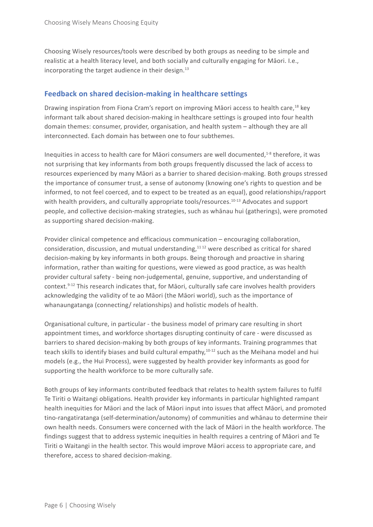Choosing Wisely resources/tools were described by both groups as needing to be simple and realistic at a health literacy level, and both socially and culturally engaging for Māori. I.e., incorporating the target audience in their design.<sup>13</sup>

#### **Feedback on shared decision-making in healthcare settings**

Drawing inspiration from Fiona Cram's report on improving Māori access to health care,<sup>18</sup> key informant talk about shared decision-making in healthcare settings is grouped into four health domain themes: consumer, provider, organisation, and health system – although they are all interconnected. Each domain has between one to four subthemes.

Inequities in access to health care for Māori consumers are well documented,<sup>1-8</sup> therefore, it was not surprising that key informants from both groups frequently discussed the lack of access to resources experienced by many Māori as a barrier to shared decision-making. Both groups stressed the importance of consumer trust, a sense of autonomy (knowing one's rights to question and be informed, to not feel coerced, and to expect to be treated as an equal), good relationships/rapport with health providers, and culturally appropriate tools/resources.<sup>10-13</sup> Advocates and support people, and collective decision-making strategies, such as whānau hui (gatherings), were promoted as supporting shared decision-making.

Provider clinical competence and efficacious communication – encouraging collaboration, consideration, discussion, and mutual understanding,<sup>1112</sup> were described as critical for shared decision-making by key informants in both groups. Being thorough and proactive in sharing information, rather than waiting for questions, were viewed as good practice, as was health provider cultural safety - being non-judgemental, genuine, supportive, and understanding of context.9-12 This research indicates that, for Māori, culturally safe care involves health providers acknowledging the validity of te ao Māori (the Māori world), such as the importance of whanaungatanga (connecting/ relationships) and holistic models of health.

Organisational culture, in particular - the business model of primary care resulting in short appointment times, and workforce shortages disrupting continuity of care - were discussed as barriers to shared decision-making by both groups of key informants. Training programmes that teach skills to identify biases and build cultural empathy,<sup>10-12</sup> such as the Meihana model and hui models (e.g., the Hui Process), were suggested by health provider key informants as good for supporting the health workforce to be more culturally safe.

Both groups of key informants contributed feedback that relates to health system failures to fulfil Te Tiriti o Waitangi obligations. Health provider key informants in particular highlighted rampant health inequities for Māori and the lack of Māori input into issues that affect Māori, and promoted tino-rangatiratanga (self-determination/autonomy) of communities and whānau to determine their own health needs. Consumers were concerned with the lack of Māori in the health workforce. The findings suggest that to address systemic inequities in health requires a centring of Māori and Te Tiriti o Waitangi in the health sector. This would improve Māori access to appropriate care, and therefore, access to shared decision-making.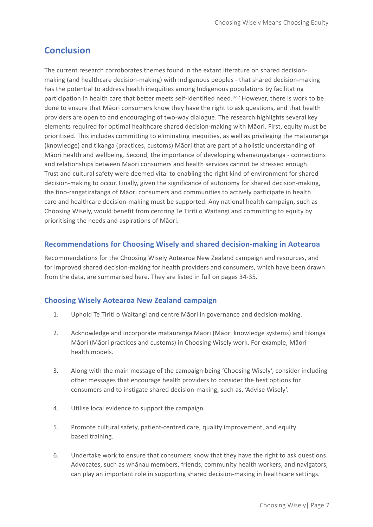### **Conclusion**

The current research corroborates themes found in the extant literature on shared decisionmaking (and healthcare decision-making) with Indigenous peoples - that shared decision-making has the potential to address health inequities among Indigenous populations by facilitating participation in health care that better meets self-identified need.<sup>9-12</sup> However, there is work to be done to ensure that Māori consumers know they have the right to ask questions, and that health providers are open to and encouraging of two-way dialogue. The research highlights several key elements required for optimal healthcare shared decision-making with Māori. First, equity must be prioritised. This includes committing to eliminating inequities, as well as privileging the mātauranga (knowledge) and tikanga (practices, customs) Māori that are part of a holistic understanding of Māori health and wellbeing. Second, the importance of developing whanaungatanga - connections and relationships between Māori consumers and health services cannot be stressed enough. Trust and cultural safety were deemed vital to enabling the right kind of environment for shared decision-making to occur. Finally, given the significance of autonomy for shared decision-making, the tino-rangatiratanga of Māori consumers and communities to actively participate in health care and healthcare decision-making must be supported. Any national health campaign, such as Choosing Wisely, would benefit from centring Te Tiriti o Waitangi and committing to equity by prioritising the needs and aspirations of Māori.

#### **Recommendations for Choosing Wisely and shared decision-making in Aotearoa**

Recommendations for the Choosing Wisely Aotearoa New Zealand campaign and resources, and for improved shared decision-making for health providers and consumers, which have been drawn from the data, are summarised here. They are listed in full on pages 34-35.

#### **Choosing Wisely Aotearoa New Zealand campaign**

- 1. Uphold Te Tiriti o Waitangi and centre Māori in governance and decision-making.
- 2. Acknowledge and incorporate mātauranga Māori (Māori knowledge systems) and tikanga Māori (Māori practices and customs) in Choosing Wisely work. For example, Māori health models.
- 3. Along with the main message of the campaign being 'Choosing Wisely', consider including other messages that encourage health providers to consider the best options for consumers and to instigate shared decision-making, such as, 'Advise Wisely'.
- 4. Utilise local evidence to support the campaign.
- 5. Promote cultural safety, patient-centred care, quality improvement, and equity based training.
- 6. Undertake work to ensure that consumers know that they have the right to ask questions. Advocates, such as whānau members, friends, community health workers, and navigators, can play an important role in supporting shared decision-making in healthcare settings.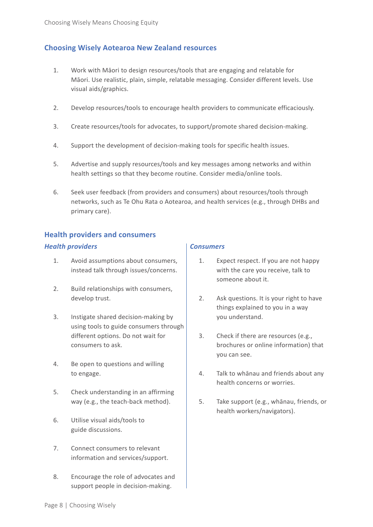#### **Choosing Wisely Aotearoa New Zealand resources**

- 1. Work with Māori to design resources/tools that are engaging and relatable for Māori. Use realistic, plain, simple, relatable messaging. Consider different levels. Use visual aids/graphics.
- 2. Develop resources/tools to encourage health providers to communicate efficaciously.
- 3. Create resources/tools for advocates, to support/promote shared decision-making.
- 4. Support the development of decision-making tools for specific health issues.
- 5. Advertise and supply resources/tools and key messages among networks and within health settings so that they become routine. Consider media/online tools.
- 6. Seek user feedback (from providers and consumers) about resources/tools through networks, such as Te Ohu Rata o Aotearoa, and health services (e.g., through DHBs and primary care).

#### **Health providers and consumers**

#### *Health providers Consumers*

- 1. Avoid assumptions about consumers, instead talk through issues/concerns.
- 2. Build relationships with consumers, develop trust.
- 3. Instigate shared decision-making by using tools to guide consumers through different options. Do not wait for consumers to ask.
- 4. Be open to questions and willing to engage.
- 5. Check understanding in an affirming way (e.g., the teach-back method).
- 6. Utilise visual aids/tools to guide discussions.
- 7. Connect consumers to relevant information and services/support.
- 8. Encourage the role of advocates and support people in decision-making.

- 1. Expect respect. If you are not happy with the care you receive, talk to someone about it.
- 2. Ask questions. It is your right to have things explained to you in a way you understand.
- 3. Check if there are resources (e.g., brochures or online information) that you can see.
- 4. Talk to whānau and friends about any health concerns or worries.
- 5. Take support (e.g., whānau, friends, or health workers/navigators).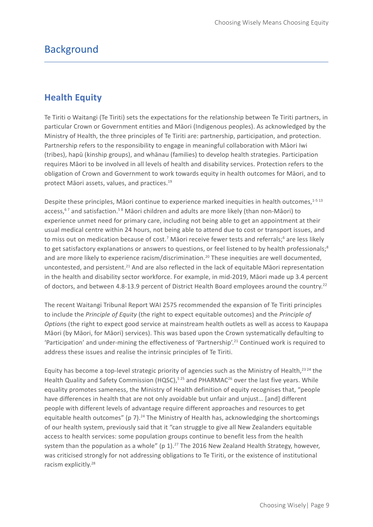### **Background**

### **Health Equity**

Te Tiriti o Waitangi (Te Tiriti) sets the expectations for the relationship between Te Tiriti partners, in particular Crown or Government entities and Māori (Indigenous peoples). As acknowledged by the Ministry of Health, the three principles of Te Tiriti are: partnership, participation, and protection. Partnership refers to the responsibility to engage in meaningful collaboration with Māori Iwi (tribes), hapū (kinship groups), and whānau (families) to develop health strategies. Participation requires Māori to be involved in all levels of health and disability services. Protection refers to the obligation of Crown and Government to work towards equity in health outcomes for Māori, and to protect Māori assets, values, and practices.<sup>19</sup>

Despite these principles, Māori continue to experience marked inequities in health outcomes,<sup>1-5 13</sup> access,<sup>67</sup> and satisfaction.<sup>58</sup> Māori children and adults are more likely (than non-Māori) to experience unmet need for primary care, including not being able to get an appointment at their usual medical centre within 24 hours, not being able to attend due to cost or transport issues, and to miss out on medication because of cost.<sup>7</sup> Māori receive fewer tests and referrals;<sup>6</sup> are less likely to get satisfactory explanations or answers to questions, or feel listened to by health professionals; $8$ and are more likely to experience racism/discrimination.20 These inequities are well documented, uncontested, and persistent.<sup>21</sup> And are also reflected in the lack of equitable Maori representation in the health and disability sector workforce. For example, in mid-2019, Māori made up 3.4 percent of doctors, and between 4.8-13.9 percent of District Health Board employees around the country.22

The recent Waitangi Tribunal Report WAI 2575 recommended the expansion of Te Tiriti principles to include the *Principle of Equity* (the right to expect equitable outcomes) and the *Principle of Option*s (the right to expect good service at mainstream health outlets as well as access to Kaupapa Māori (by Māori, for Māori) services). This was based upon the Crown systematically defaulting to 'Participation' and under-mining the effectiveness of 'Partnership'.21 Continued work is required to address these issues and realise the intrinsic principles of Te Tiriti.

Equity has become a top-level strategic priority of agencies such as the Ministry of Health,<sup>23 24</sup> the Health Quality and Safety Commission (HQSC),<sup>5 25</sup> and PHARMAC<sup>26</sup> over the last five years. While equality promotes sameness, the Ministry of Health definition of equity recognises that, "people have differences in health that are not only avoidable but unfair and unjust… [and] different people with different levels of advantage require different approaches and resources to get equitable health outcomes" (p 7).<sup>24</sup> The Ministry of Health has, acknowledging the shortcomings of our health system, previously said that it "can struggle to give all New Zealanders equitable access to health services: some population groups continue to benefit less from the health system than the population as a whole" ( $p 1$ ).<sup>27</sup> The 2016 New Zealand Health Strategy, however, was criticised strongly for not addressing obligations to Te Tiriti, or the existence of institutional racism explicitly.28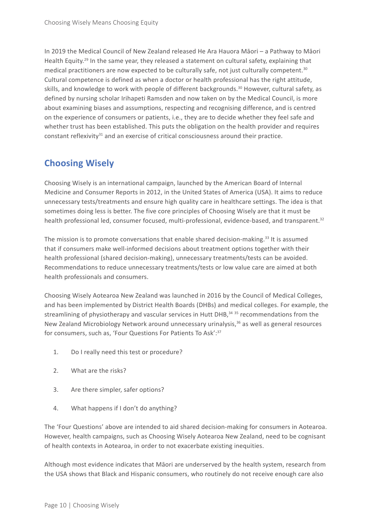In 2019 the Medical Council of New Zealand released He Ara Hauora Māori – a Pathway to Māori Health Equity.<sup>29</sup> In the same year, they released a statement on cultural safety, explaining that medical practitioners are now expected to be culturally safe, not just culturally competent.<sup>30</sup> Cultural competence is defined as when a doctor or health professional has the right attitude, skills, and knowledge to work with people of different backgrounds.<sup>30</sup> However, cultural safety, as defined by nursing scholar Irihapeti Ramsden and now taken on by the Medical Council, is more about examining biases and assumptions, respecting and recognising difference, and is centred on the experience of consumers or patients, i.e., they are to decide whether they feel safe and whether trust has been established. This puts the obligation on the health provider and requires constant reflexivity $31$  and an exercise of critical consciousness around their practice.

### **Choosing Wisely**

Choosing Wisely is an international campaign, launched by the American Board of Internal Medicine and Consumer Reports in 2012, in the United States of America (USA). It aims to reduce unnecessary tests/treatments and ensure high quality care in healthcare settings. The idea is that sometimes doing less is better. The five core principles of Choosing Wisely are that it must be health professional led, consumer focused, multi-professional, evidence-based, and transparent.<sup>32</sup>

The mission is to promote conversations that enable shared decision-making.<sup>33</sup> It is assumed that if consumers make well-informed decisions about treatment options together with their health professional (shared decision-making), unnecessary treatments/tests can be avoided. Recommendations to reduce unnecessary treatments/tests or low value care are aimed at both health professionals and consumers.

Choosing Wisely Aotearoa New Zealand was launched in 2016 by the Council of Medical Colleges, and has been implemented by District Health Boards (DHBs) and medical colleges. For example, the streamlining of physiotherapy and vascular services in Hutt DHB, $3435$  recommendations from the New Zealand Microbiology Network around unnecessary urinalysis,<sup>36</sup> as well as general resources for consumers, such as, 'Four Questions For Patients To Ask': 37

- 1. Do I really need this test or procedure?
- 2. What are the risks?
- 3. Are there simpler, safer options?
- 4. What happens if I don't do anything?

The 'Four Questions' above are intended to aid shared decision-making for consumers in Aotearoa. However, health campaigns, such as Choosing Wisely Aotearoa New Zealand, need to be cognisant of health contexts in Aotearoa, in order to not exacerbate existing inequities.

Although most evidence indicates that Māori are underserved by the health system, research from the USA shows that Black and Hispanic consumers, who routinely do not receive enough care also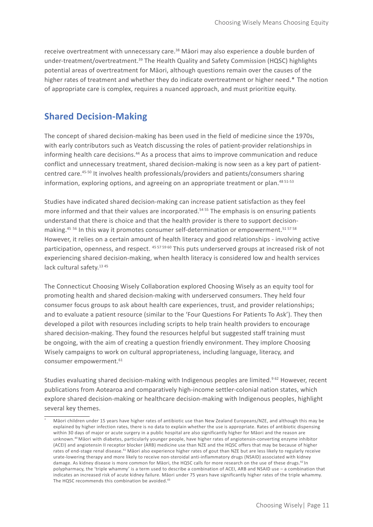receive overtreatment with unnecessary care.<sup>38</sup> Māori may also experience a double burden of under-treatment/overtreatment.<sup>39</sup> The Health Quality and Safety Commission (HQSC) highlights potential areas of overtreatment for Māori, although questions remain over the causes of the higher rates of treatment and whether they do indicate overtreatment or higher need.\* The notion of appropriate care is complex, requires a nuanced approach, and must prioritize equity.

### **Shared Decision-Making**

The concept of shared decision-making has been used in the field of medicine since the 1970s, with early contributors such as Veatch discussing the roles of patient-provider relationships in informing health care decisions.<sup>44</sup> As a process that aims to improve communication and reduce conflict and unnecessary treatment, shared decision-making is now seen as a key part of patientcentred care.45-50 It involves health professionals/providers and patients/consumers sharing information, exploring options, and agreeing on an appropriate treatment or plan.<sup>48 51-53</sup>

Studies have indicated shared decision-making can increase patient satisfaction as they feel more informed and that their values are incorporated.<sup>54 55</sup> The emphasis is on ensuring patients understand that there is choice and that the health provider is there to support decisionmaking.<sup>45 56</sup> In this way it promotes consumer self-determination or empowerment.<sup>515758</sup> However, it relies on a certain amount of health literacy and good relationships - involving active participation, openness, and respect. 45 57 59 60 This puts underserved groups at increased risk of not experiencing shared decision-making, when health literacy is considered low and health services lack cultural safety.<sup>13 45</sup>

The Connecticut Choosing Wisely Collaboration explored Choosing Wisely as an equity tool for promoting health and shared decision-making with underserved consumers. They held four consumer focus groups to ask about health care experiences, trust, and provider relationships; and to evaluate a patient resource (similar to the 'Four Questions For Patients To Ask'). They then developed a pilot with resources including scripts to help train health providers to encourage shared decision-making. They found the resources helpful but suggested staff training must be ongoing, with the aim of creating a question friendly environment. They implore Choosing Wisely campaigns to work on cultural appropriateness, including language, literacy, and consumer empowerment.<sup>61</sup>

Studies evaluating shared decision-making with Indigenous peoples are limited.<sup>962</sup> However, recent publications from Aotearoa and comparatively high-income settler-colonial nation states, which explore shared decision-making or healthcare decision-making with Indigenous peoples, highlight several key themes.

Māori children under 15 years have higher rates of antibiotic use than New Zealand Europeans/NZE, and although this may be explained by higher infection rates, there is no data to explain whether the use is appropriate. Rates of antibiotic dispensing within 30 days of major or acute surgery in a public hospital are also significantly higher for Māori and the reason are unknown.40 Māori with diabetes, particularly younger people, have higher rates of angiotensin-converting enzyme inhibitor (ACEI) and angiotensin II receptor blocker (ARB) medicine use than NZE and the HQSC offers that may be because of higher rates of end-stage renal disease.<sup>41</sup> Māori also experience higher rates of gout than NZE but are less likely to regularly receive urate-lowering therapy and more likely to receive non-steroidal anti-inflammatory drugs (NSAID) associated with kidney damage. As kidney disease is more common for Māori, the HQSC calls for more research on the use of these drugs.<sup>42</sup> In polypharmacy, the 'triple whammy' is a term used to describe a combination of ACEI, ARB and NSAID use – a combination that indicates an increased risk of acute kidney failure. Māori under 75 years have significantly higher rates of the triple whammy. The HQSC recommends this combination be avoided.<sup>43</sup>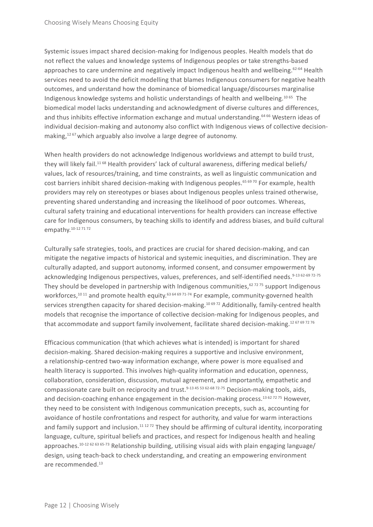Systemic issues impact shared decision-making for Indigenous peoples. Health models that do not reflect the values and knowledge systems of Indigenous peoples or take strengths-based approaches to care undermine and negatively impact Indigenous health and wellbeing.<sup>62-64</sup> Health services need to avoid the deficit modelling that blames Indigenous consumers for negative health outcomes, and understand how the dominance of biomedical language/discourses marginalise Indigenous knowledge systems and holistic understandings of health and wellbeing.10 65 The biomedical model lacks understanding and acknowledgment of diverse cultures and differences, and thus inhibits effective information exchange and mutual understanding.<sup>64 66</sup> Western ideas of individual decision-making and autonomy also conflict with Indigenous views of collective decisionmaking,<sup>1267</sup> which arguably also involve a large degree of autonomy.

When health providers do not acknowledge Indigenous worldviews and attempt to build trust, they will likely fail.<sup>1168</sup> Health providers' lack of cultural awareness, differing medical beliefs/ values, lack of resources/training, and time constraints, as well as linguistic communication and cost barriers inhibit shared decision-making with Indigenous peoples.<sup>65 69 70</sup> For example, health providers may rely on stereotypes or biases about Indigenous peoples unless trained otherwise, preventing shared understanding and increasing the likelihood of poor outcomes. Whereas, cultural safety training and educational interventions for health providers can increase effective care for Indigenous consumers, by teaching skills to identify and address biases, and build cultural empathy.<sup>10-12</sup> 71 72

Culturally safe strategies, tools, and practices are crucial for shared decision-making, and can mitigate the negative impacts of historical and systemic inequities, and discrimination. They are culturally adapted, and support autonomy, informed consent, and consumer empowerment by acknowledging Indigenous perspectives, values, preferences, and self-identified needs.<sup>9-13 62-69 72-75</sup> They should be developed in partnership with Indigenous communities, $627275$  support Indigenous workforces,<sup>10 11</sup> and promote health equity.<sup>63 64 69 71-74</sup> For example, community-governed health services strengthen capacity for shared decision-making.<sup>10 6972</sup> Additionally, family-centred health models that recognise the importance of collective decision-making for Indigenous peoples, and that accommodate and support family involvement, facilitate shared decision-making.<sup>12 67 69 72 76</sup>

Efficacious communication (that which achieves what is intended) is important for shared decision-making. Shared decision-making requires a supportive and inclusive environment, a relationship-centred two-way information exchange, where power is more equalised and health literacy is supported. This involves high-quality information and education, openness, collaboration, consideration, discussion, mutual agreement, and importantly, empathetic and compassionate care built on reciprocity and trust.<sup>9-13 45 53 62-68 72-75</sup> Decision-making tools, aids, and decision-coaching enhance engagement in the decision-making process.<sup>13 62 72 75</sup> However, they need to be consistent with Indigenous communication precepts, such as, accounting for avoidance of hostile confrontations and respect for authority, and value for warm interactions and family support and inclusion.<sup>11 1272</sup> They should be affirming of cultural identity, incorporating language, culture, spiritual beliefs and practices, and respect for Indigenous health and healing approaches.<sup>10-12 62 63 65-73</sup> Relationship building, utilising visual aids with plain engaging language/ design, using teach-back to check understanding, and creating an empowering environment are recommended.13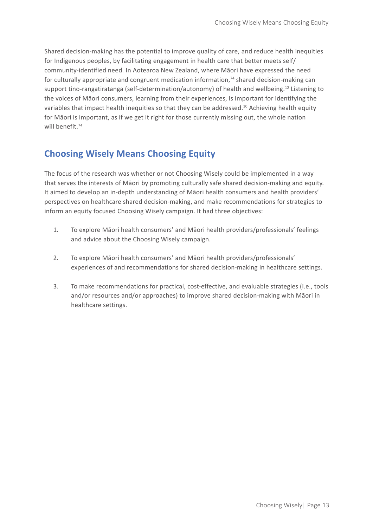Shared decision-making has the potential to improve quality of care, and reduce health inequities for Indigenous peoples, by facilitating engagement in health care that better meets self/ community-identified need. In Aotearoa New Zealand, where Māori have expressed the need for culturally appropriate and congruent medication information, $74$  shared decision-making can support tino-rangatiratanga (self-determination/autonomy) of health and wellbeing.12 Listening to the voices of Māori consumers, learning from their experiences, is important for identifying the variables that impact health inequities so that they can be addressed.10 Achieving health equity for Māori is important, as if we get it right for those currently missing out, the whole nation will benefit.<sup>74</sup>

### **Choosing Wisely Means Choosing Equity**

The focus of the research was whether or not Choosing Wisely could be implemented in a way that serves the interests of Māori by promoting culturally safe shared decision-making and equity. It aimed to develop an in-depth understanding of Māori health consumers and health providers' perspectives on healthcare shared decision-making, and make recommendations for strategies to inform an equity focused Choosing Wisely campaign. It had three objectives:

- 1. To explore Māori health consumers' and Māori health providers/professionals' feelings and advice about the Choosing Wisely campaign.
- 2. To explore Māori health consumers' and Māori health providers/professionals' experiences of and recommendations for shared decision-making in healthcare settings.
- 3. To make recommendations for practical, cost-effective, and evaluable strategies (i.e., tools and/or resources and/or approaches) to improve shared decision-making with Māori in healthcare settings.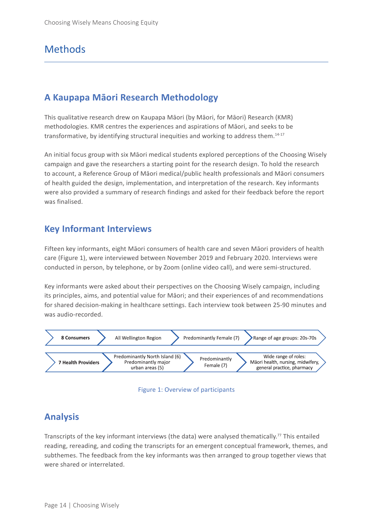### **Methods**

### **A Kaupapa Māori Research Methodology**

This qualitative research drew on Kaupapa Māori (by Māori, for Māori) Research (KMR) methodologies. KMR centres the experiences and aspirations of Māori, and seeks to be transformative, by identifying structural inequities and working to address them.14-17

An initial focus group with six Māori medical students explored perceptions of the Choosing Wisely campaign and gave the researchers a starting point for the research design. To hold the research to account, a Reference Group of Māori medical/public health professionals and Māori consumers of health guided the design, implementation, and interpretation of the research. Key informants were also provided a summary of research findings and asked for their feedback before the report was finalised.

### **Key Informant Interviews**

Fifteen key informants, eight Māori consumers of health care and seven Māori providers of health care (Figure 1), were interviewed between November 2019 and February 2020. Interviews were conducted in person, by telephone, or by Zoom (online video call), and were semi-structured.

Key informants were asked about their perspectives on the Choosing Wisely campaign, including its principles, aims, and potential value for Māori; and their experiences of and recommendations for shared decision-making in healthcare settings. Each interview took between 25-90 minutes and was audio-recorded.





### **Analysis**

Transcripts of the key informant interviews (the data) were analysed thematically.<sup>77</sup> This entailed reading, rereading, and coding the transcripts for an emergent conceptual framework, themes, and subthemes. The feedback from the key informants was then arranged to group together views that were shared or interrelated.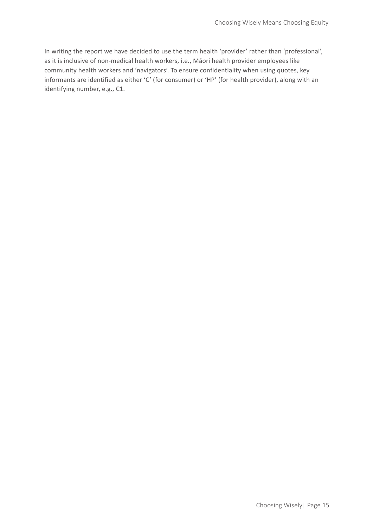In writing the report we have decided to use the term health 'provider' rather than 'professional', as it is inclusive of non-medical health workers, i.e., Māori health provider employees like community health workers and 'navigators'. To ensure confidentiality when using quotes, key informants are identified as either 'C' (for consumer) or 'HP' (for health provider), along with an identifying number, e.g., C1.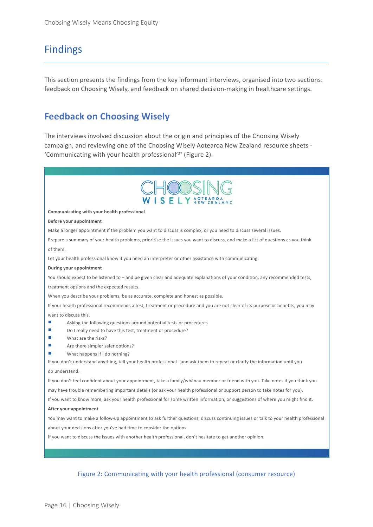### Findings

This section presents the findings from the key informant interviews, organised into two sections: feedback on Choosing Wisely, and feedback on shared decision-making in healthcare settings.

### **Feedback on Choosing Wisely**

The interviews involved discussion about the origin and principles of the Choosing Wisely campaign, and reviewing one of the Choosing Wisely Aotearoa New Zealand resource sheets - 'Communicating with your health professional'37 (Figure 2).



#### **Communicating with your health professional**

#### **Before your appointment**

Make a longer appointment if the problem you want to discuss is complex, or you need to discuss several issues.

Prepare a summary of your health problems, prioritise the issues you want to discuss, and make a list of questions as you think of them.

Let your health professional know if you need an interpreter or other assistance with communicating.

#### **During your appointment**

You should expect to be listened to – and be given clear and adequate explanations of your condition, any recommended tests, treatment options and the expected results.

When you describe your problems, be as accurate, complete and honest as possible.

If your health professional recommends a test, treatment or procedure and you are not clear of its purpose or benefits, you may want to discuss this.

- Asking the following questions around potential tests or procedures
- Do I really need to have this test, treatment or procedure?
- What are the risks?
- Are there simpler safer options?
- What happens if I do nothing?

If you don't understand anything, tell your health professional - and ask them to repeat or clarify the information until you do understand.

If you don't feel confident about your appointment, take a family/whānau member or friend with you. Take notes if you think you

may have trouble remembering important details (or ask your health professional or support person to take notes for you).

If you want to know more, ask your health professional for some written information, or suggestions of where you might find it.

#### **After your appointment**

You may want to make a follow-up appointment to ask further questions, discuss continuing issues or talk to your health professional about your decisions after you've had time to consider the options.

If you want to discuss the issues with another health professional, don't hesitate to get another opinion.

#### Figure 2: Communicating with your health professional (consumer resource)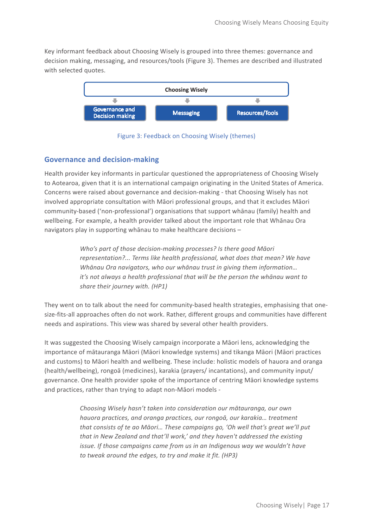Key informant feedback about Choosing Wisely is grouped into three themes: governance and decision making, messaging, and resources/tools (Figure 3). Themes are described and illustrated with selected quotes.



Figure 3: Feedback on Choosing Wisely (themes)

#### **Governance and decision-making**

Health provider key informants in particular questioned the appropriateness of Choosing Wisely to Aotearoa, given that it is an international campaign originating in the United States of America. Concerns were raised about governance and decision-making - that Choosing Wisely has not involved appropriate consultation with Māori professional groups, and that it excludes Māori community-based ('non-professional') organisations that support whānau (family) health and wellbeing. For example, a health provider talked about the important role that Whānau Ora navigators play in supporting whānau to make healthcare decisions –

> *Who's part of those decision-making processes? Is there good Māori representation?... Terms like health professional, what does that mean? We have Whānau Ora navigators, who our whānau trust in giving them information… it's not always a health professional that will be the person the whānau want to share their journey with. (HP1)*

They went on to talk about the need for community-based health strategies, emphasising that onesize-fits-all approaches often do not work. Rather, different groups and communities have different needs and aspirations. This view was shared by several other health providers.

It was suggested the Choosing Wisely campaign incorporate a Māori lens, acknowledging the importance of mātauranga Māori (Māori knowledge systems) and tikanga Māori (Māori practices and customs) to Māori health and wellbeing. These include: holistic models of hauora and oranga (health/wellbeing), rongoā (medicines), karakia (prayers/ incantations), and community input/ governance. One health provider spoke of the importance of centring Māori knowledge systems and practices, rather than trying to adapt non-Māori models -

> *Choosing Wisely hasn't taken into consideration our mātauranga, our own hauora practices, and oranga practices, our rongoā, our karakia… treatment that consists of te ao Māori… These campaigns go, 'Oh well that's great we'll put that in New Zealand and that'll work,' and they haven't addressed the existing issue. If those campaigns came from us in an Indigenous way we wouldn't have to tweak around the edges, to try and make it fit. (HP3)*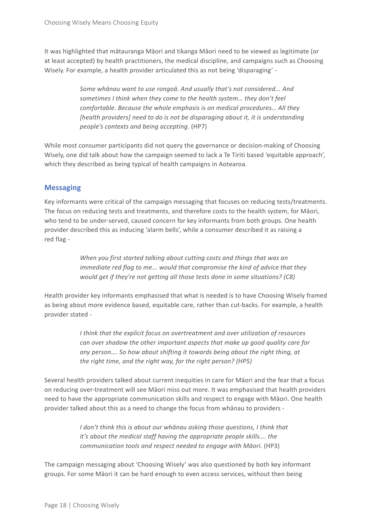It was highlighted that mātauranga Māori and tikanga Māori need to be viewed as legitimate (or at least accepted) by health practitioners, the medical discipline, and campaigns such as Choosing Wisely. For example, a health provider articulated this as not being 'disparaging' -

> *Some whānau want to use rongoā. And usually that's not considered... And sometimes I think when they come to the health system… they don't feel comfortable. Because the whole emphasis is on medical procedures… All they [health providers] need to do is not be disparaging about it, it is understanding people's contexts and being accepting.* (HP7)

While most consumer participants did not query the governance or decision-making of Choosing Wisely, one did talk about how the campaign seemed to lack a Te Tiriti based 'equitable approach', which they described as being typical of health campaigns in Aotearoa.

### **Messaging**

Key informants were critical of the campaign messaging that focuses on reducing tests/treatments. The focus on reducing tests and treatments, and therefore costs to the health system, for Māori, who tend to be under-served, caused concern for key informants from both groups. One health provider described this as inducing 'alarm bells', while a consumer described it as raising a red flag -

> *When you first started talking about cutting costs and things that was an immediate red flag to me... would that compromise the kind of advice that they would get if they're not getting all those tests done in some situations? (C8)*

Health provider key informants emphasised that what is needed is to have Choosing Wisely framed as being about more evidence based, equitable care, rather than cut-backs. For example, a health provider stated -

> *I think that the explicit focus on overtreatment and over utilization of resources can over shadow the other important aspects that make up good quality care for any person…. So how about shifting it towards being about the right thing, at the right time, and the right way, for the right person? (HP5)*

Several health providers talked about current inequities in care for Māori and the fear that a focus on reducing over-treatment will see Māori miss out more. It was emphasised that health providers need to have the appropriate communication skills and respect to engage with Māori. One health provider talked about this as a need to change the focus from whānau to providers -

> *I don't think this is about our whānau asking those questions, I think that it's about the medical staff having the appropriate people skills…. the communication tools and respect needed to engage with Māori.* (HP3)

The campaign messaging about 'Choosing Wisely' was also questioned by both key informant groups. For some Māori it can be hard enough to even access services, without then being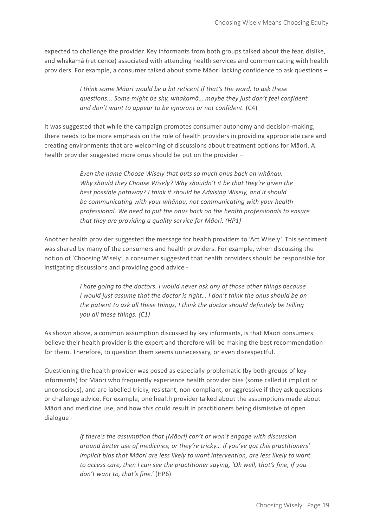expected to challenge the provider. Key informants from both groups talked about the fear, dislike, and whakamā (reticence) associated with attending health services and communicating with health providers. For example, a consumer talked about some Māori lacking confidence to ask questions –

> *I think some Māori would be a bit reticent if that's the word, to ask these questions... Some might be shy, whakamā… maybe they just don't feel confident and don't want to appear to be ignorant or not confident.* (C4)

It was suggested that while the campaign promotes consumer autonomy and decision-making, there needs to be more emphasis on the role of health providers in providing appropriate care and creating environments that are welcoming of discussions about treatment options for Māori. A health provider suggested more onus should be put on the provider –

> *Even the name Choose Wisely that puts so much onus back on whānau. Why should they Choose Wisely? Why shouldn't it be that they're given the best possible pathway? I think it should be Advising Wisely, and it should be communicating with your whānau, not communicating with your health professional. We need to put the onus back on the health professionals to ensure that they are providing a quality service for Māori. (HP1)*

Another health provider suggested the message for health providers to 'Act Wisely'. This sentiment was shared by many of the consumers and health providers. For example, when discussing the notion of 'Choosing Wisely', a consumer suggested that health providers should be responsible for instigating discussions and providing good advice -

> *I hate going to the doctors. I would never ask any of those other things because I would just assume that the doctor is right… I don't think the onus should be on the patient to ask all these things, I think the doctor should definitely be telling you all these things. (C1)*

As shown above, a common assumption discussed by key informants, is that Māori consumers believe their health provider is the expert and therefore will be making the best recommendation for them. Therefore, to question them seems unnecessary, or even disrespectful.

Questioning the health provider was posed as especially problematic (by both groups of key informants) for Māori who frequently experience health provider bias (some called it implicit or unconscious), and are labelled tricky, resistant, non-compliant, or aggressive if they ask questions or challenge advice. For example, one health provider talked about the assumptions made about Māori and medicine use, and how this could result in practitioners being dismissive of open dialogue -

> *If there's the assumption that [Māori] can't or won't engage with discussion around better use of medicines, or they're tricky… if you've got this practitioners' implicit bias that Māori are less likely to want intervention, are less likely to want to access care, then I can see the practitioner saying, 'Oh well, that's fine, if you don't want to, that's fine.'* (HP6)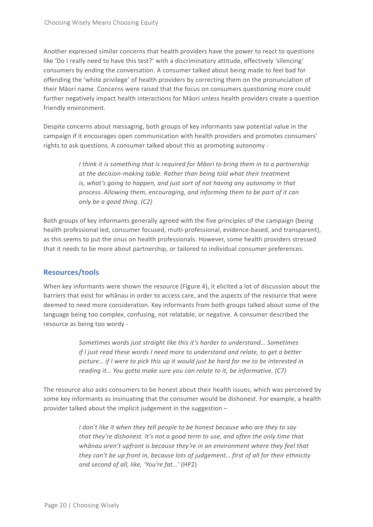Another expressed similar concerns that health providers have the power to react to questions like 'Do I really need to have this test?' with a discriminatory attitude, effectively 'silencing' consumers by ending the conversation. A consumer talked about being made to feel bad for offending the 'white privilege' of health providers by correcting them on the pronunciation of their Māori name. Concerns were raised that the focus on consumers questioning more could further negatively impact health interactions for Māori unless health providers create a question friendly environment.

Despite concerns about messaging, both groups of key informants saw potential value in the campaign if it encourages open communication with health providers and promotes consumers' rights to ask questions. A consumer talked about this as promoting autonomy -

> *I think it is something that is required for Māori to bring them in to a partnership at the decision-making table. Rather than being told what their treatment is, what's going to happen, and just sort of not having any autonomy in that process. Allowing them, encouraging, and informing them to be part of it can only be a good thing. (C2)*

Both groups of key informants generally agreed with the five principles of the campaign (being health professional led, consumer focused, multi-professional, evidence-based, and transparent), as this seems to put the onus on health professionals. However, some health providers stressed that it needs to be more about partnership, or tailored to individual consumer preferences.

#### **Resources/tools**

When key informants were shown the resource (Figure 4), it elicited a lot of discussion about the barriers that exist for whānau in order to access care, and the aspects of the resource that were deemed to need more consideration. Key informants from both groups talked about some of the language being too complex, confusing, not relatable, or negative. A consumer described the resource as being too wordy -

> *Sometimes words just straight like this it's harder to understand… Sometimes if I just read these words I need more to understand and relate, to get a better picture… if I were to pick this up it would just be hard for me to be interested in reading it… You gotta make sure you can relate to it, be informative. (C7)*

The resource also asks consumers to be honest about their health issues, which was perceived by some key informants as insinuating that the consumer would be dishonest. For example, a health provider talked about the implicit judgement in the suggestion –

> *I don't like it when they tell people to be honest because who are they to say that they're dishonest. It's not a good term to use, and often the only time that whānau aren't upfront is because they're in an environment where they feel that they can't be up front in, because lots of judgement… first of all for their ethnicity and second of all, like, 'You're fat...'* (HP2)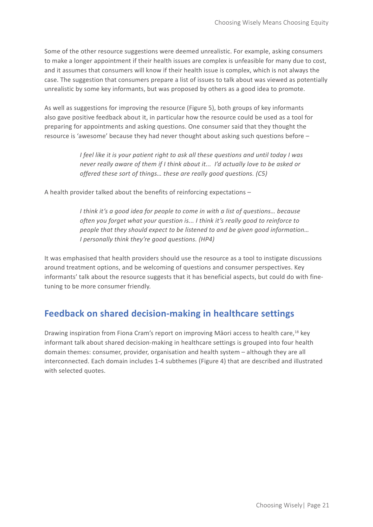Some of the other resource suggestions were deemed unrealistic. For example, asking consumers to make a longer appointment if their health issues are complex is unfeasible for many due to cost, and it assumes that consumers will know if their health issue is complex, which is not always the case. The suggestion that consumers prepare a list of issues to talk about was viewed as potentially unrealistic by some key informants, but was proposed by others as a good idea to promote.

As well as suggestions for improving the resource (Figure 5), both groups of key informants also gave positive feedback about it, in particular how the resource could be used as a tool for preparing for appointments and asking questions. One consumer said that they thought the resource is 'awesome' because they had never thought about asking such questions before –

> *I feel like it is your patient right to ask all these questions and until today I was never really aware of them if I think about it... I'd actually love to be asked or offered these sort of things… these are really good questions. (C5)*

A health provider talked about the benefits of reinforcing expectations –

*I think it's a good idea for people to come in with a list of questions… because often you forget what your question is... I think it's really good to reinforce to people that they should expect to be listened to and be given good information… I personally think they're good questions. (HP4)*

It was emphasised that health providers should use the resource as a tool to instigate discussions around treatment options, and be welcoming of questions and consumer perspectives. Key informants' talk about the resource suggests that it has beneficial aspects, but could do with finetuning to be more consumer friendly.

### **Feedback on shared decision-making in healthcare settings**

Drawing inspiration from Fiona Cram's report on improving Māori access to health care,<sup>18</sup> key informant talk about shared decision-making in healthcare settings is grouped into four health domain themes: consumer, provider, organisation and health system – although they are all interconnected. Each domain includes 1-4 subthemes (Figure 4) that are described and illustrated with selected quotes.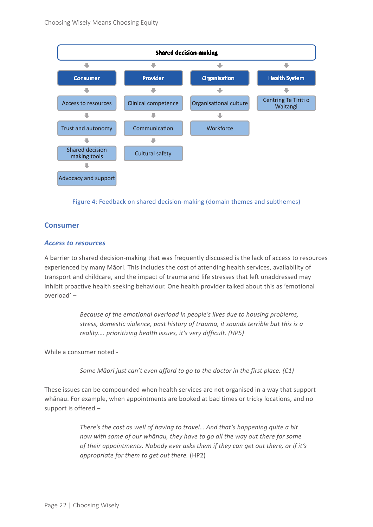

Figure 4: Feedback on shared decision-making (domain themes and subthemes)

#### **Consumer**

#### *Access to resources*

A barrier to shared decision-making that was frequently discussed is the lack of access to resources experienced by many Māori. This includes the cost of attending health services, availability of transport and childcare, and the impact of trauma and life stresses that left unaddressed may inhibit proactive health seeking behaviour. One health provider talked about this as 'emotional overload' –

> *Because of the emotional overload in people's lives due to housing problems, stress, domestic violence, past history of trauma, it sounds terrible but this is a reality…. prioritizing health issues, it's very difficult. (HP5)*

While a consumer noted -

*Some Māori just can't even afford to go to the doctor in the first place. (C1)*

These issues can be compounded when health services are not organised in a way that support whānau. For example, when appointments are booked at bad times or tricky locations, and no support is offered –

> *There's the cost as well of having to travel… And that's happening quite a bit now with some of our whānau, they have to go all the way out there for some of their appointments. Nobody ever asks them if they can get out there, or if it's appropriate for them to get out there.* (HP2)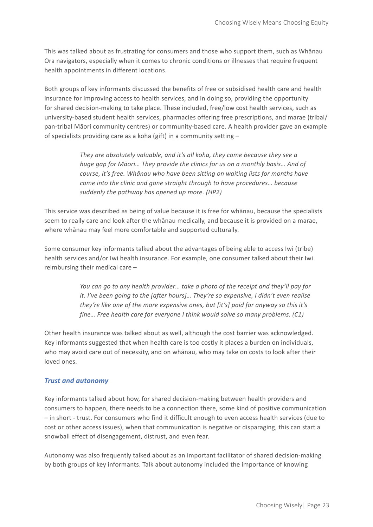This was talked about as frustrating for consumers and those who support them, such as Whānau Ora navigators, especially when it comes to chronic conditions or illnesses that require frequent health appointments in different locations.

Both groups of key informants discussed the benefits of free or subsidised health care and health insurance for improving access to health services, and in doing so, providing the opportunity for shared decision-making to take place. These included, free/low cost health services, such as university-based student health services, pharmacies offering free prescriptions, and marae (tribal/ pan-tribal Māori community centres) or community-based care. A health provider gave an example of specialists providing care as a koha (gift) in a community setting –

> *They are absolutely valuable, and it's all koha, they come because they see a huge gap for Māori… They provide the clinics for us on a monthly basis… And of course, it's free. Whānau who have been sitting on waiting lists for months have come into the clinic and gone straight through to have procedures… because suddenly the pathway has opened up more. (HP2)*

This service was described as being of value because it is free for whānau, because the specialists seem to really care and look after the whānau medically, and because it is provided on a marae, where whānau may feel more comfortable and supported culturally.

Some consumer key informants talked about the advantages of being able to access Iwi (tribe) health services and/or Iwi health insurance. For example, one consumer talked about their Iwi reimbursing their medical care –

> *You can go to any health provider… take a photo of the receipt and they'll pay for it. I've been going to the [after hours]… They're so expensive, I didn't even realise they're like one of the more expensive ones, but [it's] paid for anyway so this it's fine… Free health care for everyone I think would solve so many problems. (C1)*

Other health insurance was talked about as well, although the cost barrier was acknowledged. Key informants suggested that when health care is too costly it places a burden on individuals, who may avoid care out of necessity, and on whānau, who may take on costs to look after their loved ones.

#### *Trust and autonomy*

Key informants talked about how, for shared decision-making between health providers and consumers to happen, there needs to be a connection there, some kind of positive communication – in short - trust. For consumers who find it difficult enough to even access health services (due to cost or other access issues), when that communication is negative or disparaging, this can start a snowball effect of disengagement, distrust, and even fear.

Autonomy was also frequently talked about as an important facilitator of shared decision-making by both groups of key informants. Talk about autonomy included the importance of knowing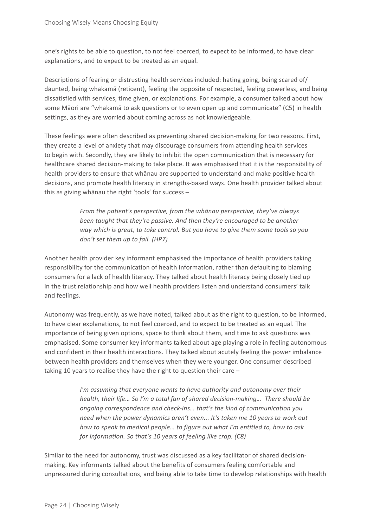one's rights to be able to question, to not feel coerced, to expect to be informed, to have clear explanations, and to expect to be treated as an equal.

Descriptions of fearing or distrusting health services included: hating going, being scared of/ daunted, being whakamā (reticent), feeling the opposite of respected, feeling powerless, and being dissatisfied with services, time given, or explanations. For example, a consumer talked about how some Māori are "whakamā to ask questions or to even open up and communicate" (C5) in health settings, as they are worried about coming across as not knowledgeable.

These feelings were often described as preventing shared decision-making for two reasons. First, they create a level of anxiety that may discourage consumers from attending health services to begin with. Secondly, they are likely to inhibit the open communication that is necessary for healthcare shared decision-making to take place. It was emphasised that it is the responsibility of health providers to ensure that whānau are supported to understand and make positive health decisions, and promote health literacy in strengths-based ways. One health provider talked about this as giving whānau the right 'tools' for success –

> *From the patient's perspective, from the whānau perspective, they've always been taught that they're passive. And then they're encouraged to be another way which is great, to take control. But you have to give them some tools so you don't set them up to fail. (HP7)*

Another health provider key informant emphasised the importance of health providers taking responsibility for the communication of health information, rather than defaulting to blaming consumers for a lack of health literacy. They talked about health literacy being closely tied up in the trust relationship and how well health providers listen and understand consumers' talk and feelings.

Autonomy was frequently, as we have noted, talked about as the right to question, to be informed, to have clear explanations, to not feel coerced, and to expect to be treated as an equal. The importance of being given options, space to think about them, and time to ask questions was emphasised. Some consumer key informants talked about age playing a role in feeling autonomous and confident in their health interactions. They talked about acutely feeling the power imbalance between health providers and themselves when they were younger. One consumer described taking 10 years to realise they have the right to question their care –

> *I'm assuming that everyone wants to have authority and autonomy over their health, their life… So I'm a total fan of shared decision-making… There should be ongoing correspondence and check-ins… that's the kind of communication you need when the power dynamics aren't even... It's taken me 10 years to work out how to speak to medical people… to figure out what I'm entitled to, how to ask for information. So that's 10 years of feeling like crap. (C8)*

Similar to the need for autonomy, trust was discussed as a key facilitator of shared decisionmaking. Key informants talked about the benefits of consumers feeling comfortable and unpressured during consultations, and being able to take time to develop relationships with health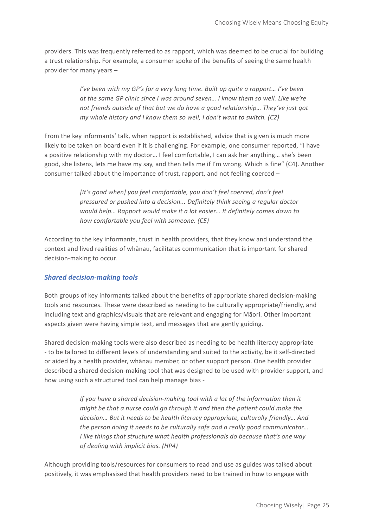providers. This was frequently referred to as rapport, which was deemed to be crucial for building a trust relationship. For example, a consumer spoke of the benefits of seeing the same health provider for many years –

> *I've been with my GP's for a very long time. Built up quite a rapport… I've been at the same GP clinic since I was around seven… I know them so well. Like we're not friends outside of that but we do have a good relationship… They've just got my whole history and I know them so well, I don't want to switch. (C2)*

From the key informants' talk, when rapport is established, advice that is given is much more likely to be taken on board even if it is challenging. For example, one consumer reported, "I have a positive relationship with my doctor… I feel comfortable, I can ask her anything… she's been good, she listens, lets me have my say, and then tells me if I'm wrong. Which is fine" (C4). Another consumer talked about the importance of trust, rapport, and not feeling coerced –

> *[It's good when] you feel comfortable, you don't feel coerced, don't feel pressured or pushed into a decision... Definitely think seeing a regular doctor would help… Rapport would make it a lot easier… It definitely comes down to how comfortable you feel with someone. (C5)*

According to the key informants, trust in health providers, that they know and understand the context and lived realities of whānau, facilitates communication that is important for shared decision-making to occur.

#### *Shared decision-making tools*

Both groups of key informants talked about the benefits of appropriate shared decision-making tools and resources. These were described as needing to be culturally appropriate/friendly, and including text and graphics/visuals that are relevant and engaging for Māori. Other important aspects given were having simple text, and messages that are gently guiding.

Shared decision-making tools were also described as needing to be health literacy appropriate - to be tailored to different levels of understanding and suited to the activity, be it self-directed or aided by a health provider, whānau member, or other support person. One health provider described a shared decision-making tool that was designed to be used with provider support, and how using such a structured tool can help manage bias -

> *If you have a shared decision-making tool with a lot of the information then it might be that a nurse could go through it and then the patient could make the decision… But it needs to be health literacy appropriate, culturally friendly… And the person doing it needs to be culturally safe and a really good communicator… I like things that structure what health professionals do because that's one way of dealing with implicit bias. (HP4)*

Although providing tools/resources for consumers to read and use as guides was talked about positively, it was emphasised that health providers need to be trained in how to engage with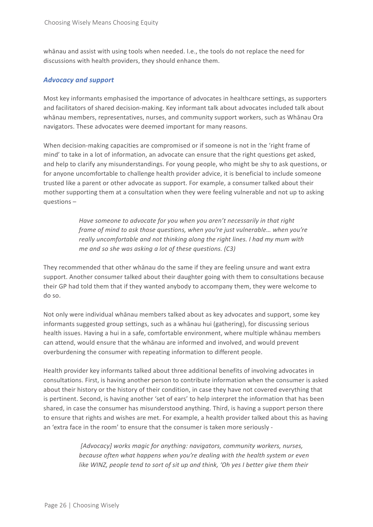whānau and assist with using tools when needed. I.e., the tools do not replace the need for discussions with health providers, they should enhance them.

#### *Advocacy and support*

Most key informants emphasised the importance of advocates in healthcare settings, as supporters and facilitators of shared decision-making. Key informant talk about advocates included talk about whānau members, representatives, nurses, and community support workers, such as Whānau Ora navigators. These advocates were deemed important for many reasons.

When decision-making capacities are compromised or if someone is not in the 'right frame of mind' to take in a lot of information, an advocate can ensure that the right questions get asked, and help to clarify any misunderstandings. For young people, who might be shy to ask questions, or for anyone uncomfortable to challenge health provider advice, it is beneficial to include someone trusted like a parent or other advocate as support. For example, a consumer talked about their mother supporting them at a consultation when they were feeling vulnerable and not up to asking questions –

> *Have someone to advocate for you when you aren't necessarily in that right frame of mind to ask those questions, when you're just vulnerable… when you're really uncomfortable and not thinking along the right lines. I had my mum with me and so she was asking a lot of these questions. (C3)*

They recommended that other whānau do the same if they are feeling unsure and want extra support. Another consumer talked about their daughter going with them to consultations because their GP had told them that if they wanted anybody to accompany them, they were welcome to do so.

Not only were individual whānau members talked about as key advocates and support, some key informants suggested group settings, such as a whānau hui (gathering), for discussing serious health issues. Having a hui in a safe, comfortable environment, where multiple whānau members can attend, would ensure that the whānau are informed and involved, and would prevent overburdening the consumer with repeating information to different people.

Health provider key informants talked about three additional benefits of involving advocates in consultations. First, is having another person to contribute information when the consumer is asked about their history or the history of their condition, in case they have not covered everything that is pertinent. Second, is having another 'set of ears' to help interpret the information that has been shared, in case the consumer has misunderstood anything. Third, is having a support person there to ensure that rights and wishes are met. For example, a health provider talked about this as having an 'extra face in the room' to ensure that the consumer is taken more seriously -

> *[Advocacy] works magic for anything: navigators, community workers, nurses, because often what happens when you're dealing with the health system or even like WINZ, people tend to sort of sit up and think, 'Oh yes I better give them their*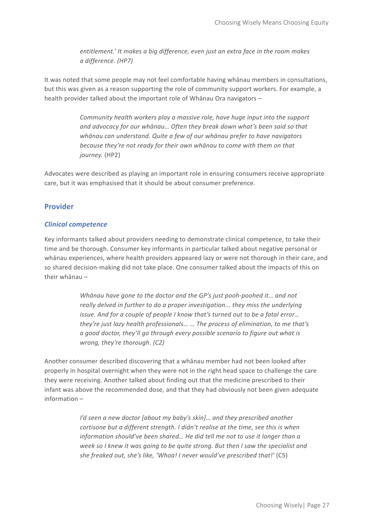*entitlement.' It makes a big difference, even just an extra face in the room makes a difference. (HP7)*

It was noted that some people may not feel comfortable having whānau members in consultations, but this was given as a reason supporting the role of community support workers. For example, a health provider talked about the important role of Whānau Ora navigators –

> *Community health workers play a massive role, have huge input into the support and advocacy for our whānau… Often they break down what's been said so that whānau can understand. Quite a few of our whānau prefer to have navigators because they're not ready for their own whānau to come with them on that journey.* (HP2)

Advocates were described as playing an important role in ensuring consumers receive appropriate care, but it was emphasised that it should be about consumer preference.

#### **Provider**

#### *Clinical competence*

Key informants talked about providers needing to demonstrate clinical competence, to take their time and be thorough. Consumer key informants in particular talked about negative personal or whānau experiences, where health providers appeared lazy or were not thorough in their care, and so shared decision-making did not take place. One consumer talked about the impacts of this on their whānau –

> *Whānau have gone to the doctor and the GP's just pooh-poohed it… and not really delved in further to do a proper investigation... they miss the underlying issue. And for a couple of people I know that's turned out to be a fatal error… they're just lazy health professionals… … The process of elimination, to me that's a good doctor, they'll go through every possible scenario to figure out what is wrong, they're thorough. (C2)*

Another consumer described discovering that a whānau member had not been looked after properly in hospital overnight when they were not in the right head space to challenge the care they were receiving. Another talked about finding out that the medicine prescribed to their infant was above the recommended dose, and that they had obviously not been given adequate information –

> *I'd seen a new doctor [about my baby's skin]… and they prescribed another cortisone but a different strength. I didn't realise at the time, see this is when information should've been shared… He did tell me not to use it longer than a week so I knew it was going to be quite strong. But then I saw the specialist and she freaked out, she's like, 'Whoa! I never would've prescribed that!'* (C5)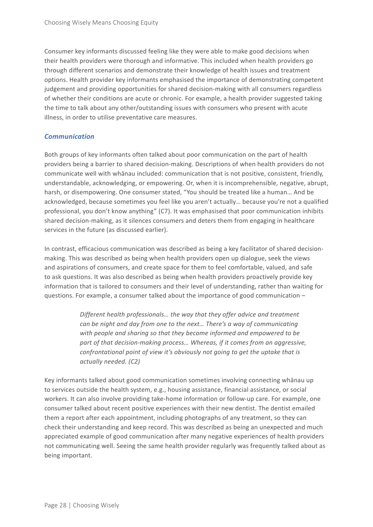Consumer key informants discussed feeling like they were able to make good decisions when their health providers were thorough and informative. This included when health providers go through different scenarios and demonstrate their knowledge of health issues and treatment options. Health provider key informants emphasised the importance of demonstrating competent judgement and providing opportunities for shared decision-making with all consumers regardless of whether their conditions are acute or chronic. For example, a health provider suggested taking the time to talk about any other/outstanding issues with consumers who present with acute illness, in order to utilise preventative care measures.

#### *Communication*

Both groups of key informants often talked about poor communication on the part of health providers being a barrier to shared decision-making. Descriptions of when health providers do not communicate well with whānau included: communication that is not positive, consistent, friendly, understandable, acknowledging, or empowering. Or, when it is incomprehensible, negative, abrupt, harsh, or disempowering. One consumer stated, "You should be treated like a human… And be acknowledged, because sometimes you feel like you aren't actually… because you're not a qualified professional, you don't know anything" (C7). It was emphasised that poor communication inhibits shared decision-making, as it silences consumers and deters them from engaging in healthcare services in the future (as discussed earlier).

In contrast, efficacious communication was described as being a key facilitator of shared decisionmaking. This was described as being when health providers open up dialogue, seek the views and aspirations of consumers, and create space for them to feel comfortable, valued, and safe to ask questions. It was also described as being when health providers proactively provide key information that is tailored to consumers and their level of understanding, rather than waiting for questions. For example, a consumer talked about the importance of good communication –

> *Different health professionals… the way that they offer advice and treatment can be night and day from one to the next… There's a way of communicating with people and sharing so that they become informed and empowered to be part of that decision-making process… Whereas, if it comes from an aggressive, confrontational point of view it's obviously not going to get the uptake that is actually needed. (C2)*

Key informants talked about good communication sometimes involving connecting whānau up to services outside the health system, e.g., housing assistance, financial assistance, or social workers. It can also involve providing take-home information or follow-up care. For example, one consumer talked about recent positive experiences with their new dentist. The dentist emailed them a report after each appointment, including photographs of any treatment, so they can check their understanding and keep record. This was described as being an unexpected and much appreciated example of good communication after many negative experiences of health providers not communicating well. Seeing the same health provider regularly was frequently talked about as being important.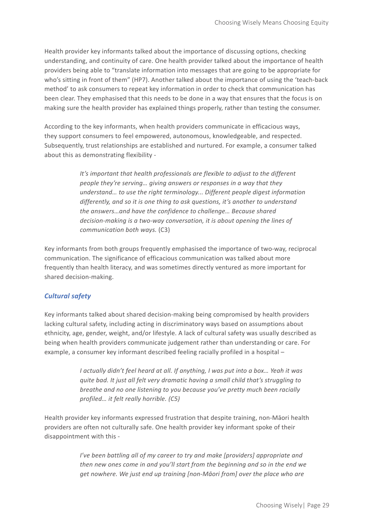Health provider key informants talked about the importance of discussing options, checking understanding, and continuity of care. One health provider talked about the importance of health providers being able to "translate information into messages that are going to be appropriate for who's sitting in front of them" (HP7). Another talked about the importance of using the 'teach-back method' to ask consumers to repeat key information in order to check that communication has been clear. They emphasised that this needs to be done in a way that ensures that the focus is on making sure the health provider has explained things properly, rather than testing the consumer.

According to the key informants, when health providers communicate in efficacious ways, they support consumers to feel empowered, autonomous, knowledgeable, and respected. Subsequently, trust relationships are established and nurtured. For example, a consumer talked about this as demonstrating flexibility -

> *It's important that health professionals are flexible to adjust to the different people they're serving… giving answers or responses in a way that they understand… to use the right terminology... Different people digest information differently, and so it is one thing to ask questions, it's another to understand the answers…and have the confidence to challenge… Because shared decision-making is a two-way conversation, it is about opening the lines of communication both ways.* (C3)

Key informants from both groups frequently emphasised the importance of two-way, reciprocal communication. The significance of efficacious communication was talked about more frequently than health literacy, and was sometimes directly ventured as more important for shared decision-making.

#### *Cultural safety*

Key informants talked about shared decision-making being compromised by health providers lacking cultural safety, including acting in discriminatory ways based on assumptions about ethnicity, age, gender, weight, and/or lifestyle. A lack of cultural safety was usually described as being when health providers communicate judgement rather than understanding or care. For example, a consumer key informant described feeling racially profiled in a hospital –

> *I actually didn't feel heard at all. If anything, I was put into a box… Yeah it was quite bad. It just all felt very dramatic having a small child that's struggling to breathe and no one listening to you because you've pretty much been racially profiled… it felt really horrible. (C5)*

Health provider key informants expressed frustration that despite training, non-Māori health providers are often not culturally safe. One health provider key informant spoke of their disappointment with this -

> *I've been battling all of my career to try and make [providers] appropriate and then new ones come in and you'll start from the beginning and so in the end we get nowhere. We just end up training [non-Māori from] over the place who are*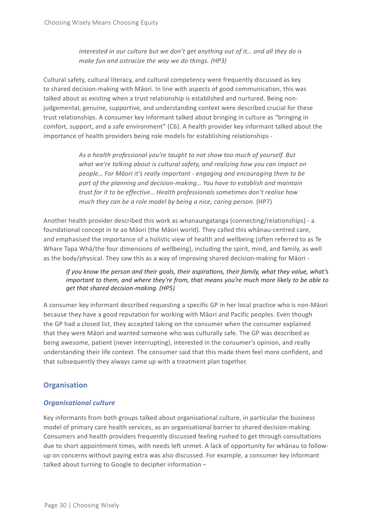*interested in our culture but we don't get anything out of it… and all they do is make fun and ostracize the way we do things. (HP3)*

Cultural safety, cultural literacy, and cultural competency were frequently discussed as key to shared decision-making with Māori. In line with aspects of good communication, this was talked about as existing when a trust relationship is established and nurtured. Being nonjudgemental, genuine, supportive, and understanding context were described crucial for these trust relationships. A consumer key informant talked about bringing in culture as "bringing in comfort, support, and a safe environment" (C6). A health provider key informant talked about the importance of health providers being role models for establishing relationships -

> *As a health professional you're taught to not show too much of yourself. But what we're talking about is cultural safety, and realizing how you can impact on people… For Māori it's really important - engaging and encouraging them to be part of the planning and decision-making… You have to establish and maintain trust for it to be effective… Health professionals sometimes don't realise how much they can be a role model by being a nice, caring person.* (HP7)

Another health provider described this work as whanaungatanga (connecting/relationships) - a foundational concept in te ao Māori (the Māori world). They called this whānau-centred care, and emphasised the importance of a holistic view of health and wellbeing (often referred to as Te Whare Tapa Whā/the four dimensions of wellbeing), including the spirit, mind, and family, as well as the body/physical. They saw this as a way of improving shared decision-making for Māori -

*If you know the person and their goals, their aspirations, their family, what they value, what's important to them, and where they're from, that means you're much more likely to be able to get that shared decision-making. (HP5)*

A consumer key informant described requesting a specific GP in her local practice who is non-Māori because they have a good reputation for working with Māori and Pacific peoples. Even though the GP had a closed list, they accepted taking on the consumer when the consumer explained that they were Māori and wanted someone who was culturally safe. The GP was described as being awesome, patient (never interrupting), interested in the consumer's opinion, and really understanding their life context. The consumer said that this made them feel more confident, and that subsequently they always came up with a treatment plan together.

### **Organisation**

#### *Organisational culture*

Key informants from both groups talked about organisational culture, in particular the business model of primary care health services, as an organisational barrier to shared decision-making. Consumers and health providers frequently discussed feeling rushed to get through consultations due to short appointment times, with needs left unmet. A lack of opportunity for whānau to followup on concerns without paying extra was also discussed. For example, a consumer key informant talked about turning to Google to decipher information –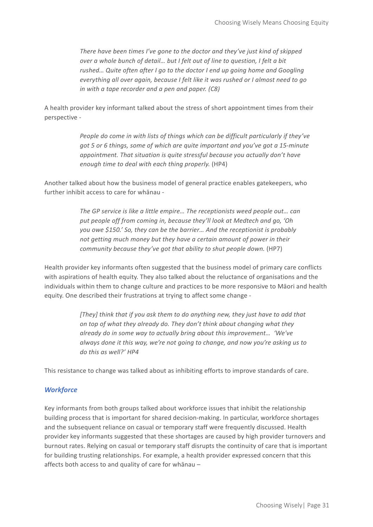*There have been times I've gone to the doctor and they've just kind of skipped over a whole bunch of detail… but I felt out of line to question, I felt a bit rushed… Quite often after I go to the doctor I end up going home and Googling everything all over again, because I felt like it was rushed or I almost need to go in with a tape recorder and a pen and paper. (C8)*

A health provider key informant talked about the stress of short appointment times from their perspective -

> *People do come in with lists of things which can be difficult particularly if they've got 5 or 6 things, some of which are quite important and you've got a 15-minute appointment. That situation is quite stressful because you actually don't have enough time to deal with each thing properly.* (HP4)

Another talked about how the business model of general practice enables gatekeepers, who further inhibit access to care for whānau -

> *The GP service is like a little empire… The receptionists weed people out… can put people off from coming in, because they'll look at Medtech and go, 'Oh you owe \$150.' So, they can be the barrier… And the receptionist is probably not getting much money but they have a certain amount of power in their community because they've got that ability to shut people down.* (HP7)

Health provider key informants often suggested that the business model of primary care conflicts with aspirations of health equity. They also talked about the reluctance of organisations and the individuals within them to change culture and practices to be more responsive to Māori and health equity. One described their frustrations at trying to affect some change -

> *[They] think that if you ask them to do anything new, they just have to add that on top of what they already do. They don't think about changing what they already do in some way to actually bring about this improvement… 'We've always done it this way, we're not going to change, and now you're asking us to do this as well?' HP4*

This resistance to change was talked about as inhibiting efforts to improve standards of care.

#### *Workforce*

Key informants from both groups talked about workforce issues that inhibit the relationship building process that is important for shared decision-making. In particular, workforce shortages and the subsequent reliance on casual or temporary staff were frequently discussed. Health provider key informants suggested that these shortages are caused by high provider turnovers and burnout rates. Relying on casual or temporary staff disrupts the continuity of care that is important for building trusting relationships. For example, a health provider expressed concern that this affects both access to and quality of care for whānau –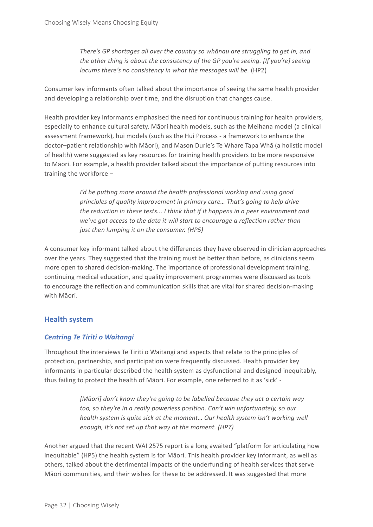*There's GP shortages all over the country so whānau are struggling to get in, and the other thing is about the consistency of the GP you're seeing. [If you're] seeing locums there's no consistency in what the messages will be.* (HP2)

Consumer key informants often talked about the importance of seeing the same health provider and developing a relationship over time, and the disruption that changes cause.

Health provider key informants emphasised the need for continuous training for health providers, especially to enhance cultural safety. Māori health models, such as the Meihana model (a clinical assessment framework), hui models (such as the Hui Process - a framework to enhance the doctor–patient relationship with Māori), and Mason Durie's Te Whare Tapa Whā (a holistic model of health) were suggested as key resources for training health providers to be more responsive to Māori. For example, a health provider talked about the importance of putting resources into training the workforce –

> *I'd be putting more around the health professional working and using good principles of quality improvement in primary care… That's going to help drive the reduction in these tests... I think that if it happens in a peer environment and we've got access to the data it will start to encourage a reflection rather than just then lumping it on the consumer. (HP5)*

A consumer key informant talked about the differences they have observed in clinician approaches over the years. They suggested that the training must be better than before, as clinicians seem more open to shared decision-making. The importance of professional development training, continuing medical education, and quality improvement programmes were discussed as tools to encourage the reflection and communication skills that are vital for shared decision-making with Māori.

### **Health system**

#### *Centring Te Tiriti o Waitangi*

Throughout the interviews Te Tiriti o Waitangi and aspects that relate to the principles of protection, partnership, and participation were frequently discussed. Health provider key informants in particular described the health system as dysfunctional and designed inequitably, thus failing to protect the health of Māori. For example, one referred to it as 'sick' -

> *[Māori] don't know they're going to be labelled because they act a certain way too, so they're in a really powerless position. Can't win unfortunately, so our health system is quite sick at the moment... Our health system isn't working well enough, it's not set up that way at the moment. (HP7)*

Another argued that the recent WAI 2575 report is a long awaited "platform for articulating how inequitable" (HP5) the health system is for Māori. This health provider key informant, as well as others, talked about the detrimental impacts of the underfunding of health services that serve Māori communities, and their wishes for these to be addressed. It was suggested that more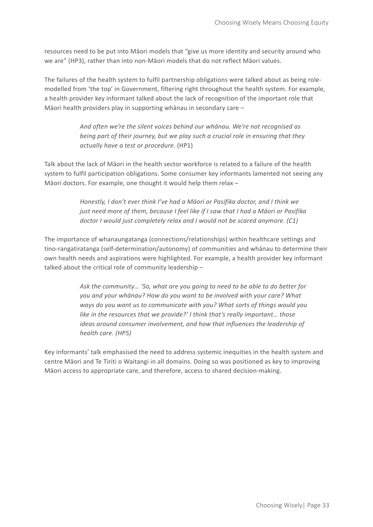resources need to be put into Māori models that "give us more identity and security around who we are" (HP3), rather than into non-Māori models that do not reflect Māori values.

The failures of the health system to fulfil partnership obligations were talked about as being rolemodelled from 'the top' in Government, filtering right throughout the health system. For example, a health provider key informant talked about the lack of recognition of the important role that Māori health providers play in supporting whānau in secondary care –

> *And often we're the silent voices behind our whānau. We're not recognised as being part of their journey, but we play such a crucial role in ensuring that they actually have a test or procedure.* (HP1)

Talk about the lack of Māori in the health sector workforce is related to a failure of the health system to fulfil participation obligations. Some consumer key informants lamented not seeing any Māori doctors. For example, one thought it would help them relax –

> *Honestly, I don't ever think I've had a Māori or Pasifika doctor, and I think we just need more of them, because I feel like if I saw that I had a Māori or Pasifika doctor I would just completely relax and I would not be scared anymore. (C1)*

The importance of whanaungatanga (connections/relationships) within healthcare settings and tino-rangatiratanga (self-determination/autonomy) of communities and whānau to determine their own health needs and aspirations were highlighted. For example, a health provider key informant talked about the critical role of community leadership –

> *Ask the community… 'So, what are you going to need to be able to do better for you and your whānau? How do you want to be involved with your care? What ways do you want us to communicate with you? What sorts of things would you like in the resources that we provide?' I think that's really important… those ideas around consumer involvement, and how that influences the leadership of health care. (HP5)*

Key informants' talk emphasised the need to address systemic inequities in the health system and centre Māori and Te Tiriti o Waitangi in all domains. Doing so was positioned as key to improving Māori access to appropriate care, and therefore, access to shared decision-making.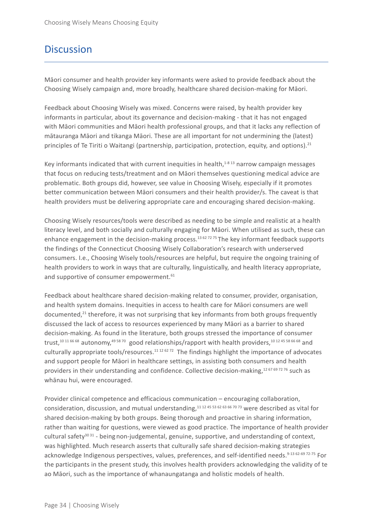### **Discussion**

Māori consumer and health provider key informants were asked to provide feedback about the Choosing Wisely campaign and, more broadly, healthcare shared decision-making for Māori.

Feedback about Choosing Wisely was mixed. Concerns were raised, by health provider key informants in particular, about its governance and decision-making - that it has not engaged with Māori communities and Māori health professional groups, and that it lacks any reflection of mātauranga Māori and tikanga Māori. These are all important for not undermining the (latest) principles of Te Tiriti o Waitangi (partnership, participation, protection, equity, and options).<sup>21</sup>

Key informants indicated that with current inequities in health, $1-813$  narrow campaign messages that focus on reducing tests/treatment and on Māori themselves questioning medical advice are problematic. Both groups did, however, see value in Choosing Wisely, especially if it promotes better communication between Māori consumers and their health provider/s. The caveat is that health providers must be delivering appropriate care and encouraging shared decision-making.

Choosing Wisely resources/tools were described as needing to be simple and realistic at a health literacy level, and both socially and culturally engaging for Māori. When utilised as such, these can enhance engagement in the decision-making process.<sup>13 62 72 75</sup> The key informant feedback supports the findings of the Connecticut Choosing Wisely Collaboration's research with underserved consumers. I.e., Choosing Wisely tools/resources are helpful, but require the ongoing training of health providers to work in ways that are culturally, linguistically, and health literacy appropriate, and supportive of consumer empowerment.<sup>61</sup>

Feedback about healthcare shared decision-making related to consumer, provider, organisation, and health system domains. Inequities in access to health care for Māori consumers are well documented, $21$  therefore, it was not surprising that key informants from both groups frequently discussed the lack of access to resources experienced by many Māori as a barrier to shared decision-making. As found in the literature, both groups stressed the importance of consumer trust,<sup>10 11 66 68</sup> autonomy,<sup>49 58 70</sup> good relationships/rapport with health providers,<sup>10 12 45 58 66 68</sup> and culturally appropriate tools/resources.<sup>11 12 62 72</sup> The findings highlight the importance of advocates and support people for Māori in healthcare settings, in assisting both consumers and health providers in their understanding and confidence. Collective decision-making,<sup>12 67 69 72 76</sup> such as whānau hui, were encouraged.

Provider clinical competence and efficacious communication – encouraging collaboration, consideration, discussion, and mutual understanding,11 12 45 53 62 63 66 70 73 were described as vital for shared decision-making by both groups. Being thorough and proactive in sharing information, rather than waiting for questions, were viewed as good practice. The importance of health provider cultural safety $3031$  - being non-judgemental, genuine, supportive, and understanding of context, was highlighted. Much research asserts that culturally safe shared decision-making strategies acknowledge Indigenous perspectives, values, preferences, and self-identified needs.<sup>9-13 62-69 72-75</sup> For the participants in the present study, this involves health providers acknowledging the validity of te ao Māori, such as the importance of whanaungatanga and holistic models of health.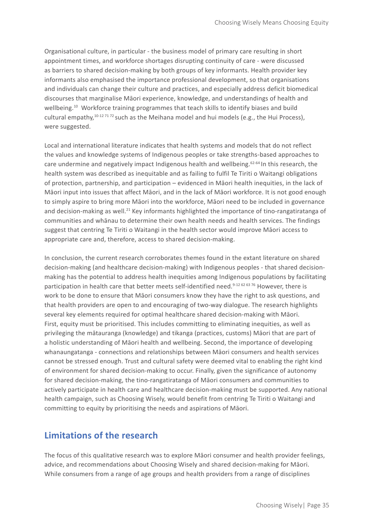Organisational culture, in particular - the business model of primary care resulting in short appointment times, and workforce shortages disrupting continuity of care - were discussed as barriers to shared decision-making by both groups of key informants. Health provider key informants also emphasised the importance professional development, so that organisations and individuals can change their culture and practices, and especially address deficit biomedical discourses that marginalise Māori experience, knowledge, and understandings of health and wellbeing.<sup>10</sup> Workforce training programmes that teach skills to identify biases and build cultural empathy,  $10^{-12}$  71  $72$  such as the Meihana model and hui models (e.g., the Hui Process), were suggested.

Local and international literature indicates that health systems and models that do not reflect the values and knowledge systems of Indigenous peoples or take strengths-based approaches to care undermine and negatively impact Indigenous health and wellbeing.<sup>62-64</sup> In this research, the health system was described as inequitable and as failing to fulfil Te Tiriti o Waitangi obligations of protection, partnership, and participation – evidenced in Māori health inequities, in the lack of Māori input into issues that affect Māori, and in the lack of Māori workforce. It is not good enough to simply aspire to bring more Māori into the workforce, Māori need to be included in governance and decision-making as well.<sup>21</sup> Key informants highlighted the importance of tino-rangatiratanga of communities and whānau to determine their own health needs and health services. The findings suggest that centring Te Tiriti o Waitangi in the health sector would improve Māori access to appropriate care and, therefore, access to shared decision-making.

In conclusion, the current research corroborates themes found in the extant literature on shared decision-making (and healthcare decision-making) with Indigenous peoples - that shared decisionmaking has the potential to address health inequities among Indigenous populations by facilitating participation in health care that better meets self-identified need.<sup>9-12 62 63 76</sup> However, there is work to be done to ensure that Māori consumers know they have the right to ask questions, and that health providers are open to and encouraging of two-way dialogue. The research highlights several key elements required for optimal healthcare shared decision-making with Māori. First, equity must be prioritised. This includes committing to eliminating inequities, as well as privileging the mātauranga (knowledge) and tikanga (practices, customs) Māori that are part of a holistic understanding of Māori health and wellbeing. Second, the importance of developing whanaungatanga - connections and relationships between Māori consumers and health services cannot be stressed enough. Trust and cultural safety were deemed vital to enabling the right kind of environment for shared decision-making to occur. Finally, given the significance of autonomy for shared decision-making, the tino-rangatiratanga of Māori consumers and communities to actively participate in health care and healthcare decision-making must be supported. Any national health campaign, such as Choosing Wisely, would benefit from centring Te Tiriti o Waitangi and committing to equity by prioritising the needs and aspirations of Māori.

### **Limitations of the research**

The focus of this qualitative research was to explore Māori consumer and health provider feelings, advice, and recommendations about Choosing Wisely and shared decision-making for Māori. While consumers from a range of age groups and health providers from a range of disciplines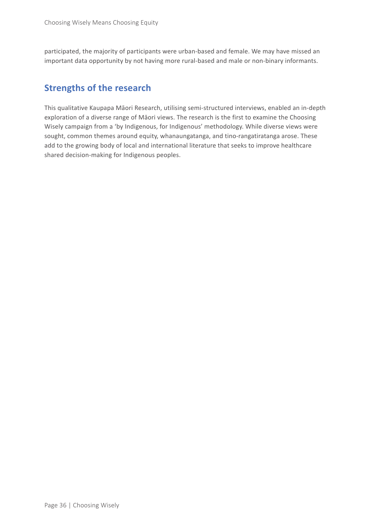participated, the majority of participants were urban-based and female. We may have missed an important data opportunity by not having more rural-based and male or non-binary informants.

### **Strengths of the research**

This qualitative Kaupapa Māori Research, utilising semi-structured interviews, enabled an in-depth exploration of a diverse range of Māori views. The research is the first to examine the Choosing Wisely campaign from a 'by Indigenous, for Indigenous' methodology. While diverse views were sought, common themes around equity, whanaungatanga, and tino-rangatiratanga arose. These add to the growing body of local and international literature that seeks to improve healthcare shared decision-making for Indigenous peoples.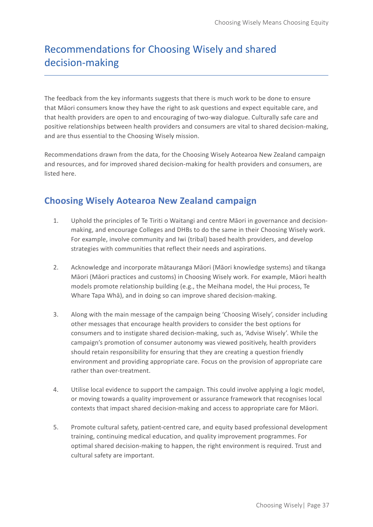# Recommendations for Choosing Wisely and shared decision-making

The feedback from the key informants suggests that there is much work to be done to ensure that Māori consumers know they have the right to ask questions and expect equitable care, and that health providers are open to and encouraging of two-way dialogue. Culturally safe care and positive relationships between health providers and consumers are vital to shared decision-making, and are thus essential to the Choosing Wisely mission.

Recommendations drawn from the data, for the Choosing Wisely Aotearoa New Zealand campaign and resources, and for improved shared decision-making for health providers and consumers, are listed here.

### **Choosing Wisely Aotearoa New Zealand campaign**

- 1. Uphold the principles of Te Tiriti o Waitangi and centre Māori in governance and decisionmaking, and encourage Colleges and DHBs to do the same in their Choosing Wisely work. For example, involve community and Iwi (tribal) based health providers, and develop strategies with communities that reflect their needs and aspirations.
- 2. Acknowledge and incorporate mātauranga Māori (Māori knowledge systems) and tikanga Māori (Māori practices and customs) in Choosing Wisely work. For example, Māori health models promote relationship building (e.g., the Meihana model, the Hui process, Te Whare Tapa Whā), and in doing so can improve shared decision-making.
- 3. Along with the main message of the campaign being 'Choosing Wisely', consider including other messages that encourage health providers to consider the best options for consumers and to instigate shared decision-making, such as, 'Advise Wisely'. While the campaign's promotion of consumer autonomy was viewed positively, health providers should retain responsibility for ensuring that they are creating a question friendly environment and providing appropriate care. Focus on the provision of appropriate care rather than over-treatment.
- 4. Utilise local evidence to support the campaign. This could involve applying a logic model, or moving towards a quality improvement or assurance framework that recognises local contexts that impact shared decision-making and access to appropriate care for Māori.
- 5. Promote cultural safety, patient-centred care, and equity based professional development training, continuing medical education, and quality improvement programmes. For optimal shared decision-making to happen, the right environment is required. Trust and cultural safety are important.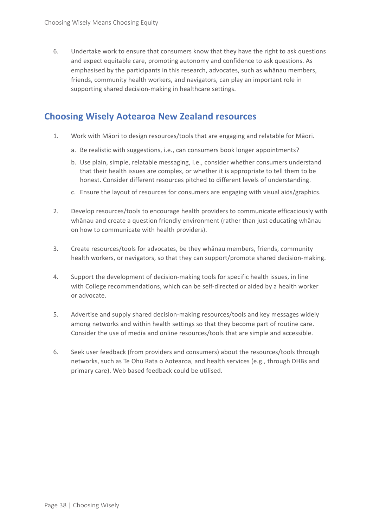6. Undertake work to ensure that consumers know that they have the right to ask questions and expect equitable care, promoting autonomy and confidence to ask questions. As emphasised by the participants in this research, advocates, such as whānau members, friends, community health workers, and navigators, can play an important role in supporting shared decision-making in healthcare settings.

### **Choosing Wisely Aotearoa New Zealand resources**

- 1. Work with Māori to design resources/tools that are engaging and relatable for Māori.
	- a. Be realistic with suggestions, i.e., can consumers book longer appointments?
	- b. Use plain, simple, relatable messaging, i.e., consider whether consumers understand that their health issues are complex, or whether it is appropriate to tell them to be honest. Consider different resources pitched to different levels of understanding.
	- c. Ensure the layout of resources for consumers are engaging with visual aids/graphics.
- 2. Develop resources/tools to encourage health providers to communicate efficaciously with whānau and create a question friendly environment (rather than just educating whānau on how to communicate with health providers).
- 3. Create resources/tools for advocates, be they whānau members, friends, community health workers, or navigators, so that they can support/promote shared decision-making.
- 4. Support the development of decision-making tools for specific health issues, in line with College recommendations, which can be self-directed or aided by a health worker or advocate.
- 5. Advertise and supply shared decision-making resources/tools and key messages widely among networks and within health settings so that they become part of routine care. Consider the use of media and online resources/tools that are simple and accessible.
- 6. Seek user feedback (from providers and consumers) about the resources/tools through networks, such as Te Ohu Rata o Aotearoa, and health services (e.g., through DHBs and primary care). Web based feedback could be utilised.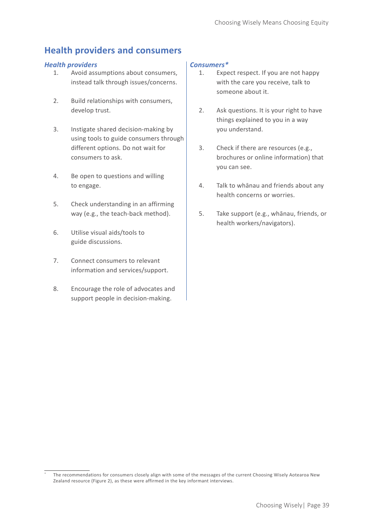### **Health providers and consumers**

#### *Health providers Consumers\**

- 1. Avoid assumptions about consumers, instead talk through issues/concerns.
- 2. Build relationships with consumers, develop trust.
- 3. Instigate shared decision-making by using tools to guide consumers through different options. Do not wait for consumers to ask.
- 4. Be open to questions and willing to engage.
- 5. Check understanding in an affirming way (e.g., the teach-back method).
- 6. Utilise visual aids/tools to guide discussions.
- 7. Connect consumers to relevant information and services/support.
- 8. Encourage the role of advocates and support people in decision-making.

- 1. Expect respect. If you are not happy with the care you receive, talk to someone about it.
- 2. Ask questions. It is your right to have things explained to you in a way you understand.
- 3. Check if there are resources (e.g., brochures or online information) that you can see.
- 4. Talk to whānau and friends about any health concerns or worries.
- 5. Take support (e.g., whānau, friends, or health workers/navigators).

The recommendations for consumers closely align with some of the messages of the current Choosing Wisely Aotearoa New Zealand resource (Figure 2), as these were affirmed in the key informant interviews.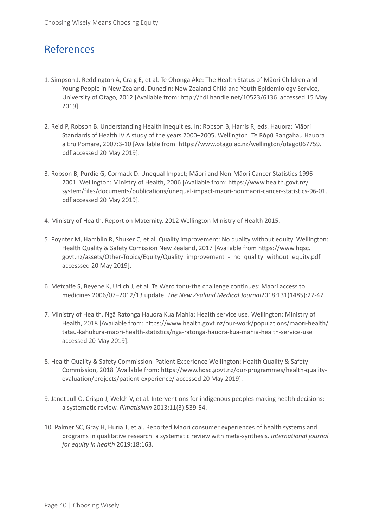### References

- 1. Simpson J, Reddington A, Craig E, et al. Te Ohonga Ake: The Health Status of Māori Children and Young People in New Zealand. Dunedin: New Zealand Child and Youth Epidemiology Service, University of Otago, 2012 [Available from: http://hdl.handle.net/10523/6136 accessed 15 May 2019].
- 2. Reid P, Robson B. Understanding Health Inequities. In: Robson B, Harris R, eds. Hauora: Māori Standards of Health IV A study of the years 2000–2005. Wellington: Te Rōpū Rangahau Hauora a Eru Pōmare, 2007:3-10 [Available from: https://www.otago.ac.nz/wellington/otago067759. pdf accessed 20 May 2019].
- 3. Robson B, Purdie G, Cormack D. Unequal Impact; Māori and Non-Māori Cancer Statistics 1996- 2001. Wellington: Ministry of Health, 2006 [Available from: https://www.health.govt.nz/ system/files/documents/publications/unequal-impact-maori-nonmaori-cancer-statistics-96-01. pdf accessed 20 May 2019].
- 4. Ministry of Health. Report on Maternity, 2012 Wellington Ministry of Health 2015.
- 5. Poynter M, Hamblin R, Shuker C, et al. Quality improvement: No quality without equity. Wellington: Health Quality & Safety Comission New Zealand, 2017 [Available from https://www.hqsc. govt.nz/assets/Other-Topics/Equity/Quality\_improvement\_-\_no\_quality\_without\_equity.pdf accesssed 20 May 2019].
- 6. Metcalfe S, Beyene K, Urlich J, et al. Te Wero tonu-the challenge continues: Maori access to medicines 2006/07–2012/13 update. *The New Zealand Medical Journal*2018;131(1485):27-47.
- 7. Ministry of Health. Ngā Ratonga Hauora Kua Mahia: Health service use. Wellington: Ministry of Health, 2018 [Available from: https://www.health.govt.nz/our-work/populations/maori-health/ tatau-kahukura-maori-health-statistics/nga-ratonga-hauora-kua-mahia-health-service-use accessed 20 May 2019].
- 8. Health Quality & Safety Commission. Patient Experience Wellington: Health Quality & Safety Commission, 2018 [Available from: https://www.hqsc.govt.nz/our-programmes/health-qualityevaluation/projects/patient-experience/ accessed 20 May 2019].
- 9. Janet Jull O, Crispo J, Welch V, et al. Interventions for indigenous peoples making health decisions: a systematic review. *Pimatisiwin* 2013;11(3):539-54.
- 10. Palmer SC, Gray H, Huria T, et al. Reported Māori consumer experiences of health systems and programs in qualitative research: a systematic review with meta-synthesis. *International journal for equity in health* 2019;18:163.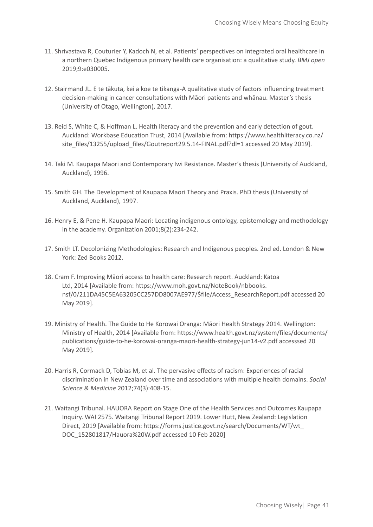- 11. Shrivastava R, Couturier Y, Kadoch N, et al. Patients' perspectives on integrated oral healthcare in a northern Quebec Indigenous primary health care organisation: a qualitative study. *BMJ open* 2019;9:e030005.
- 12. Stairmand JL. E te tākuta, kei a koe te tikanga-A qualitative study of factors influencing treatment decision-making in cancer consultations with Māori patients and whānau. Master's thesis (University of Otago, Wellington), 2017.
- 13. Reid S, White C, & Hoffman L. Health literacy and the prevention and early detection of gout. Auckland: Workbase Education Trust, 2014 [Available from: https://www.healthliteracy.co.nz/ site\_files/13255/upload\_files/Goutreport29.5.14-FINAL.pdf?dl=1 accessed 20 May 2019].
- 14. Taki M. Kaupapa Maori and Contemporary Iwi Resistance. Master's thesis (University of Auckland, Auckland), 1996.
- 15. Smith GH. The Development of Kaupapa Maori Theory and Praxis. PhD thesis (University of Auckland, Auckland), 1997.
- 16. Henry E, & Pene H. Kaupapa Maori: Locating indigenous ontology, epistemology and methodology in the academy. Organization 2001;8(2):234-242.
- 17. Smith LT. Decolonizing Methodologies: Research and Indigenous peoples. 2nd ed. London & New York: Zed Books 2012.
- 18. Cram F. Improving Māori access to health care: Research report. Auckland: Katoa Ltd, 2014 [Available from: https://www.moh.govt.nz/NoteBook/nbbooks. nsf/0/211DA45C5EA63205CC257DD8007AE977/\$file/Access\_ResearchReport.pdf accessed 20 May 2019].
- 19. Ministry of Health. The Guide to He Korowai Oranga: Māori Health Strategy 2014. Wellington: Ministry of Health, 2014 [Available from: https://www.health.govt.nz/system/files/documents/ publications/guide-to-he-korowai-oranga-maori-health-strategy-jun14-v2.pdf accesssed 20 May 2019].
- 20. Harris R, Cormack D, Tobias M, et al. The pervasive effects of racism: Experiences of racial discrimination in New Zealand over time and associations with multiple health domains. *Social Science & Medicine* 2012;74(3):408-15.
- 21. Waitangi Tribunal. HAUORA Report on Stage One of the Health Services and Outcomes Kaupapa Inquiry. WAI 2575. Waitangi Tribunal Report 2019. Lower Hutt, New Zealand: Legislation Direct, 2019 [Available from: https://forms.justice.govt.nz/search/Documents/WT/wt\_ DOC\_152801817/Hauora%20W.pdf accessed 10 Feb 2020]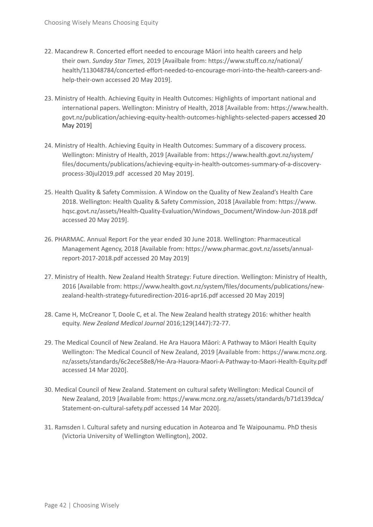- 22. Macandrew R. Concerted effort needed to encourage Māori into health careers and help their own. *Sunday Star Times,* 2019 [Availbale from: https://www.stuff.co.nz/national/ health/113048784/concerted-effort-needed-to-encourage-mori-into-the-health-careers-andhelp-their-own accessed 20 May 2019].
- 23. Ministry of Health. Achieving Equity in Health Outcomes: Highlights of important national and international papers. Wellington: Ministry of Health, 2018 [Available from: https://www.health. govt.nz/publication/achieving-equity-health-outcomes-highlights-selected-papers accessed 20 May 2019]
- 24. Ministry of Health. Achieving Equity in Health Outcomes: Summary of a discovery process. Wellington: Ministry of Health, 2019 [Available from: https://www.health.govt.nz/system/ files/documents/publications/achieving-equity-in-health-outcomes-summary-of-a-discoveryprocess-30jul2019.pdf accessed 20 May 2019].
- 25. Health Quality & Safety Commission. A Window on the Quality of New Zealand's Health Care 2018. Wellington: Health Quality & Safety Commission, 2018 [Available from: https://www. hqsc.govt.nz/assets/Health-Quality-Evaluation/Windows\_Document/Window-Jun-2018.pdf accessed 20 May 2019].
- 26. PHARMAC. Annual Report For the year ended 30 June 2018. Wellington: Pharmaceutical Management Agency, 2018 [Available from: https://www.pharmac.govt.nz/assets/annualreport-2017-2018.pdf accessed 20 May 2019]
- 27. Ministry of Health. New Zealand Health Strategy: Future direction. Wellington: Ministry of Health, 2016 [Available from: https://www.health.govt.nz/system/files/documents/publications/newzealand-health-strategy-futuredirection-2016-apr16.pdf accessed 20 May 2019]
- 28. Came H, McCreanor T, Doole C, et al. The New Zealand health strategy 2016: whither health equity. *New Zealand Medical Journal* 2016;129(1447):72-77.
- 29. The Medical Council of New Zealand. He Ara Hauora Māori: A Pathway to Māori Health Equity Wellington: The Medical Council of New Zealand, 2019 [Available from: https://www.mcnz.org. nz/assets/standards/6c2ece58e8/He-Ara-Hauora-Maori-A-Pathway-to-Maori-Health-Equity.pdf accessed 14 Mar 2020].
- 30. Medical Council of New Zealand. Statement on cultural safety Wellington: Medical Council of New Zealand, 2019 [Available from: https://www.mcnz.org.nz/assets/standards/b71d139dca/ Statement-on-cultural-safety.pdf accessed 14 Mar 2020].
- 31. Ramsden I. Cultural safety and nursing education in Aotearoa and Te Waipounamu. PhD thesis (Victoria University of Wellington Wellington), 2002.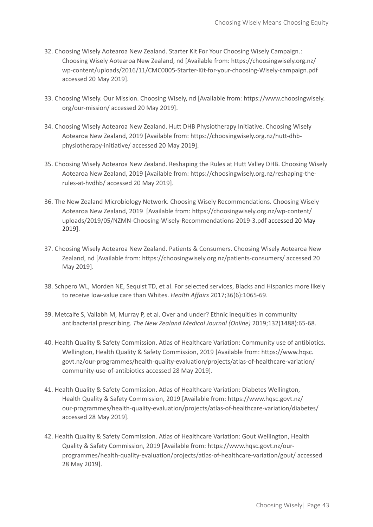- 32. Choosing Wisely Aotearoa New Zealand. Starter Kit For Your Choosing Wisely Campaign.: Choosing Wisely Aotearoa New Zealand, nd [Available from: https://choosingwisely.org.nz/ wp-content/uploads/2016/11/CMC0005-Starter-Kit-for-your-choosing-Wisely-campaign.pdf accessed 20 May 2019].
- 33. Choosing Wisely. Our Mission. Choosing Wisely, nd [Available from: https://www.choosingwisely. org/our-mission/ accessed 20 May 2019].
- 34. Choosing Wisely Aotearoa New Zealand. Hutt DHB Physiotherapy Initiative. Choosing Wisely Aotearoa New Zealand, 2019 [Available from: https://choosingwisely.org.nz/hutt-dhbphysiotherapy-initiative/ accessed 20 May 2019].
- 35. Choosing Wisely Aotearoa New Zealand. Reshaping the Rules at Hutt Valley DHB. Choosing Wisely Aotearoa New Zealand, 2019 [Available from: https://choosingwisely.org.nz/reshaping-therules-at-hvdhb/ accessed 20 May 2019].
- 36. The New Zealand Microbiology Network. Choosing Wisely Recommendations. Choosing Wisely Aotearoa New Zealand, 2019 [Available from: https://choosingwisely.org.nz/wp-content/ uploads/2019/05/NZMN-Choosing-Wisely-Recommendations-2019-3.pdf accessed 20 May 2019].
- 37. Choosing Wisely Aotearoa New Zealand. Patients & Consumers. Choosing Wisely Aotearoa New Zealand, nd [Available from: https://choosingwisely.org.nz/patients-consumers/ accessed 20 May 2019].
- 38. Schpero WL, Morden NE, Sequist TD, et al. For selected services, Blacks and Hispanics more likely to receive low-value care than Whites. *Health Affairs* 2017;36(6):1065-69.
- 39. Metcalfe S, Vallabh M, Murray P, et al. Over and under? Ethnic inequities in community antibacterial prescribing. *The New Zealand Medical Journal (Online)* 2019;132(1488):65-68.
- 40. Health Quality & Safety Commission. Atlas of Healthcare Variation: Community use of antibiotics. Wellington, Health Quality & Safety Commission, 2019 [Available from: https://www.hqsc. govt.nz/our-programmes/health-quality-evaluation/projects/atlas-of-healthcare-variation/ community-use-of-antibiotics accessed 28 May 2019].
- 41. Health Quality & Safety Commission. Atlas of Healthcare Variation: Diabetes Wellington, Health Quality & Safety Commission, 2019 [Available from: https://www.hqsc.govt.nz/ our-programmes/health-quality-evaluation/projects/atlas-of-healthcare-variation/diabetes/ accessed 28 May 2019].
- 42. Health Quality & Safety Commission. Atlas of Healthcare Variation: Gout Wellington, Health Quality & Safety Commission, 2019 [Available from: https://www.hqsc.govt.nz/ourprogrammes/health-quality-evaluation/projects/atlas-of-healthcare-variation/gout/ accessed 28 May 2019].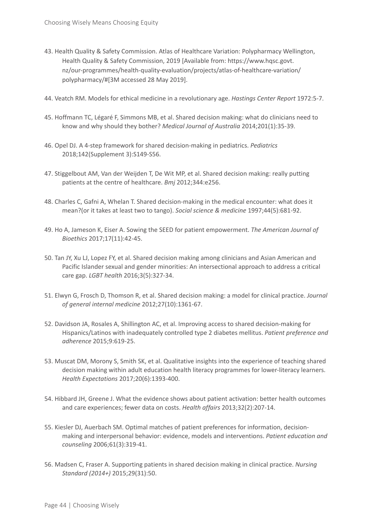- 43. Health Quality & Safety Commission. Atlas of Healthcare Variation: Polypharmacy Wellington, Health Quality & Safety Commission, 2019 [Available from: https://www.hqsc.govt. nz/our-programmes/health-quality-evaluation/projects/atlas-of-healthcare-variation/ polypharmacy/#[3M accessed 28 May 2019].
- 44. Veatch RM. Models for ethical medicine in a revolutionary age. *Hastings Center Report* 1972:5-7.
- 45. Hoffmann TC, Légaré F, Simmons MB, et al. Shared decision making: what do clinicians need to know and why should they bother? *Medical Journal of Australia* 2014;201(1):35-39.
- 46. Opel DJ. A 4-step framework for shared decision-making in pediatrics. *Pediatrics* 2018;142(Supplement 3):S149-S56.
- 47. Stiggelbout AM, Van der Weijden T, De Wit MP, et al. Shared decision making: really putting patients at the centre of healthcare. *Bmj* 2012;344:e256.
- 48. Charles C, Gafni A, Whelan T. Shared decision-making in the medical encounter: what does it mean?(or it takes at least two to tango). *Social science & medicine* 1997;44(5):681-92.
- 49. Ho A, Jameson K, Eiser A. Sowing the SEED for patient empowerment. *The American Journal of Bioethics* 2017;17(11):42-45.
- 50. Tan JY, Xu LJ, Lopez FY, et al. Shared decision making among clinicians and Asian American and Pacific Islander sexual and gender minorities: An intersectional approach to address a critical care gap. *LGBT health* 2016;3(5):327-34.
- 51. Elwyn G, Frosch D, Thomson R, et al. Shared decision making: a model for clinical practice. *Journal of general internal medicine* 2012;27(10):1361-67.
- 52. Davidson JA, Rosales A, Shillington AC, et al. Improving access to shared decision-making for Hispanics/Latinos with inadequately controlled type 2 diabetes mellitus. *Patient preference and adherence* 2015;9:619-25.
- 53. Muscat DM, Morony S, Smith SK, et al. Qualitative insights into the experience of teaching shared decision making within adult education health literacy programmes for lower-literacy learners. *Health Expectations* 2017;20(6):1393-400.
- 54. Hibbard JH, Greene J. What the evidence shows about patient activation: better health outcomes and care experiences; fewer data on costs. *Health affairs* 2013;32(2):207-14.
- 55. Kiesler DJ, Auerbach SM. Optimal matches of patient preferences for information, decisionmaking and interpersonal behavior: evidence, models and interventions. *Patient education and counseling* 2006;61(3):319-41.
- 56. Madsen C, Fraser A. Supporting patients in shared decision making in clinical practice. *Nursing Standard (2014+)* 2015;29(31):50.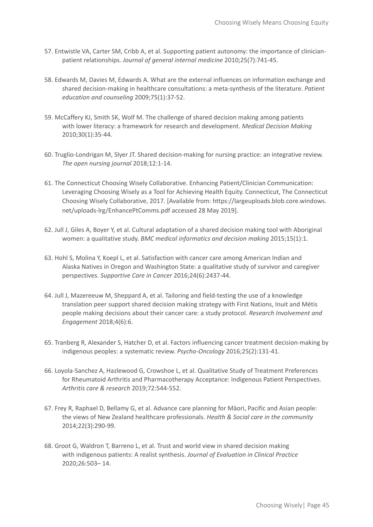- 57. Entwistle VA, Carter SM, Cribb A, et al. Supporting patient autonomy: the importance of clinicianpatient relationships. *Journal of general internal medicine* 2010;25(7):741-45.
- 58. Edwards M, Davies M, Edwards A. What are the external influences on information exchange and shared decision-making in healthcare consultations: a meta-synthesis of the literature. *Patient education and counseling* 2009;75(1):37-52.
- 59. McCaffery KJ, Smith SK, Wolf M. The challenge of shared decision making among patients with lower literacy: a framework for research and development. *Medical Decision Making* 2010;30(1):35-44.
- 60. Truglio-Londrigan M, Slyer JT. Shared decision-making for nursing practice: an integrative review. *The open nursing journal* 2018;12:1-14.
- 61. The Connecticut Choosing Wisely Collaborative. Enhancing Patient/Clinician Communication: Leveraging Choosing Wisely as a Tool for Achieving Health Equity. Connecticut, The Connecticut Choosing Wisely Collaborative, 2017. [Available from: https://largeuploads.blob.core.windows. net/uploads-lrg/EnhancePtComms.pdf accessed 28 May 2019].
- 62. Jull J, Giles A, Boyer Y, et al. Cultural adaptation of a shared decision making tool with Aboriginal women: a qualitative study. *BMC medical informatics and decision making* 2015;15(1):1.
- 63. Hohl S, Molina Y, Koepl L, et al. Satisfaction with cancer care among American Indian and Alaska Natives in Oregon and Washington State: a qualitative study of survivor and caregiver perspectives. *Supportive Care in Cancer* 2016;24(6):2437-44.
- 64. Jull J, Mazereeuw M, Sheppard A, et al. Tailoring and field-testing the use of a knowledge translation peer support shared decision making strategy with First Nations, Inuit and Métis people making decisions about their cancer care: a study protocol. *Research Involvement and Engagement* 2018;4(6):6.
- 65. Tranberg R, Alexander S, Hatcher D, et al. Factors influencing cancer treatment decision-making by indigenous peoples: a systematic review. *Psycho-Oncology* 2016;25(2):131-41.
- 66. Loyola-Sanchez A, Hazlewood G, Crowshoe L, et al. Qualitative Study of Treatment Preferences for Rheumatoid Arthritis and Pharmacotherapy Acceptance: Indigenous Patient Perspectives. *Arthritis care & research* 2019;72:544-552.
- 67. Frey R, Raphael D, Bellamy G, et al. Advance care planning for Māori, Pacific and Asian people: the views of New Zealand healthcare professionals. *Health & Social care in the community* 2014;22(3):290-99.
- 68. Groot G, Waldron T, Barreno L, et al. Trust and world view in shared decision making with indigenous patients: A realist synthesis. *Journal of Evaluation in Clinical Practice* 2020;26:503– 14.